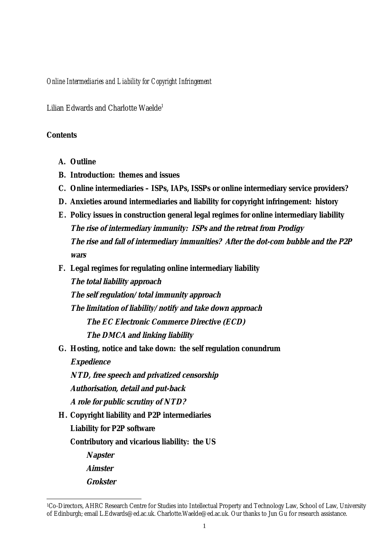*Online Intermediaries and Liability for Copyright Infringement*

Lilian Edwards and Charlotte Waelde<sup>1</sup>

## **Contents**

- **A. Outline**
- **B. Introduction: themes and issues**
- **C. Online intermediaries ISPs, IAPs, ISSPs or online intermediary service providers?**
- **D. Anxieties around intermediaries and liability for copyright infringement: history**
- **E. Policy issues in construction general legal regimes for online intermediary liability The rise of intermediary immunity: ISPs and the retreat from Prodigy The rise and fall of intermediary immunities? After the dot-com bubble and the P2P wars**
- **F. Legal regimes for regulating online intermediary liability The total liability approach The self regulation/total immunity approach The limitation of liability/notify and take down approach The EC Electronic Commerce Directive (ECD) The DMCA and linking liability**
- **G. Hosting, notice and take down: the self regulation conundrum Expedience**
	- **NTD, free speech and privatized censorship Authorisation, detail and put-back A role for public scrutiny of NTD?**
- **H. Copyright liability and P2P intermediaries**

 **Liability for P2P software**

 **Contributory and vicarious liability: the US**

 **Napster Aimster Grokster**

<sup>1</sup>Co-Directors, AHRC Research Centre for Studies into Intellectual Property and Technology Law, School of Law, University of Edinburgh; email L.Edwards@ed.ac.uk. Charlotte.Waelde@ed.ac.uk. Our thanks to Jun Gu for research assistance.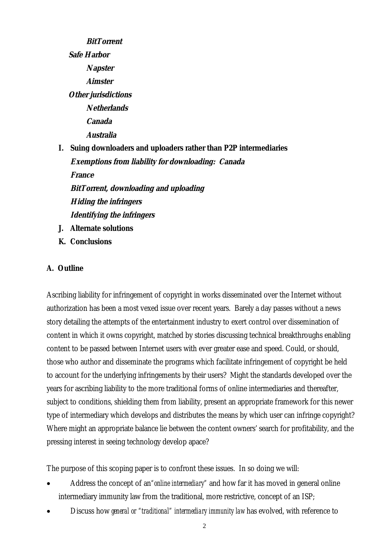**BitTorrent Safe Harbor Napster Aimster Other jurisdictions Netherlands Canada Australia I. Suing downloaders and uploaders rather than P2P intermediaries Exemptions from liability for downloading: Canada France BitTorrent, downloading and uploading Hiding the infringers Identifying the infringers J. Alternate solutions**

**K. Conclusions**

### **A. Outline**

Ascribing liability for infringement of copyright in works disseminated over the Internet without authorization has been a most vexed issue over recent years. Barely a day passes without a news story detailing the attempts of the entertainment industry to exert control over dissemination of content in which it owns copyright, matched by stories discussing technical breakthroughs enabling content to be passed between Internet users with ever greater ease and speed. Could, or should, those who author and disseminate the programs which facilitate infringement of copyright be held to account for the underlying infringements by their users? Might the standards developed over the years for ascribing liability to the more traditional forms of online intermediaries and thereafter, subject to conditions, shielding them from liability, present an appropriate framework for this newer type of intermediary which develops and distributes the means by which user can infringe copyright? Where might an appropriate balance lie between the content owners' search for profitability, and the pressing interest in seeing technology develop apace?

The purpose of this scoping paper is to confront these issues. In so doing we will:

- Address the concept of an*"online intermediary"* and how far it has moved in general online intermediary immunity law from the traditional, more restrictive, concept of an ISP;
- Discuss how *general or "traditional" intermediary immunity law* has evolved, with reference to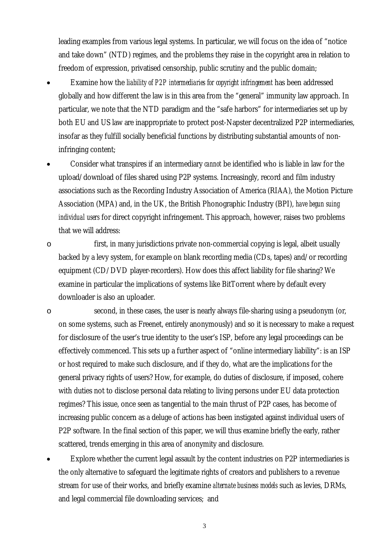leading examples from various legal systems. In particular, we will focus on the idea of "notice and take down" (NTD) regimes, and the problems they raise in the copyright area in relation to freedom of expression, privatised censorship, public scrutiny and the public domain;

- Examine how the *liability of P2P intermediaries for copyright infringement* has been addressed globally and how different the law is in this area from the "general" immunity law approach. In particular, we note that the NTD paradigm and the "safe harbors" for intermediaries set up by both EU and US law are inappropriate to protect post-Napster decentralized P2P intermediaries, insofar as they fulfill socially beneficial functions by distributing substantial amounts of noninfringing content;
- Consider what transpires if an intermediary *cannot* be identified who is liable in law for the upload/download of files shared using P2P systems. Increasingly, record and film industry associations such as the Recording Industry Association of America (RIAA), the Motion Picture Association (MPA) and, in the UK, the British Phonographic Industry (BPI), *have begun suing individual users* for direct copyright infringement. This approach, however, raises two problems that we will address:

o first, in many jurisdictions private non-commercial copying is legal, albeit usually backed by a levy system, for example on blank recording media (CDs, tapes) and/or recording equipment (CD/DVD player-recorders). How does this affect liability for file sharing? We examine in particular the implications of systems like BitTorrent where by default every downloader is also an uploader.

o second, in these cases, the user is nearly always file-sharing using a pseudonym (or, on some systems, such as Freenet, entirely anonymously) and so it is necessary to make a request for disclosure of the user's true identity to the user's ISP, before any legal proceedings can be effectively commenced. This sets up a further aspect of "online intermediary liability": is an ISP or host required to make such disclosure, and if they do, what are the implications for the general privacy rights of users? How, for example, do duties of disclosure, if imposed, cohere with duties not to disclose personal data relating to living persons under EU data protection regimes? This issue, once seen as tangential to the main thrust of P2P cases, has become of increasing public concern as a deluge of actions has been instigated against individual users of P2P software. In the final section of this paper, we will thus examine briefly the early, rather scattered, trends emerging in this area of anonymity and disclosure.

 Explore whether the current legal assault by the content industries on P2P intermediaries is the only alternative to safeguard the legitimate rights of creators and publishers to a revenue stream for use of their works, and briefly examine *alternate business models* such as levies, DRMs, and legal commercial file downloading services; and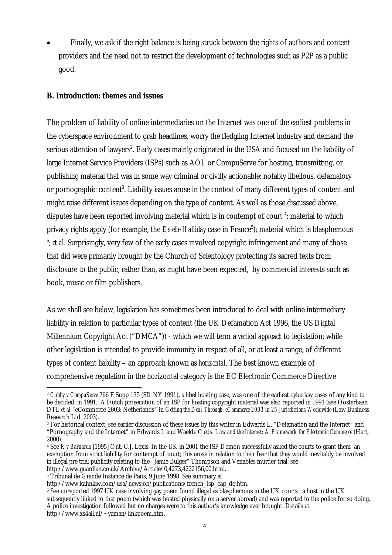Finally, we ask if the right balance is being struck between the rights of authors and content providers and the need not to restrict the development of technologies such as P2P as a public good.

# **B. Introduction: themes and issues**

The problem of liability of online intermediaries on the Internet was one of the earliest problems in the cyberspace environment to grab headlines, worry the fledgling Internet industry and demand the serious attention of lawyers<sup>2</sup>. Early cases mainly originated in the USA and focused on the liability of large Internet Service Providers (ISPs) such as AOL or CompuServe for hosting, transmitting, or publishing material that was in some way criminal or civilly actionable: notably libellous, defamatory or pornographic content<sup>3</sup>. Liability issues arose in the context of many different types of content and might raise different issues depending on the type of content. As well as those discussed above, disputes have been reported involving material which is in contempt of court<sup>4</sup>; material to which privacy rights apply (for example, the Estelle Halliday case in France<sup>5</sup>); material which is blasphemous <sup>6</sup>; et al. Surprisingly, very few of the early cases involved copyright infringement and many of those that did were primarily brought by the Church of Scientology protecting its sacred texts from disclosure to the public, rather than, as might have been expected, by commercial interests such as book, music or film publishers.

As we shall see below, legislation has sometimes been introduced to deal with online intermediary liability in relation to particular types of content (the UK Defamation Act 1996, the US Digital Millennium Copyright Act ("DMCA")) - which we will term a *vertical approach* to legislation; while other legislation is intended to provide immunity in respect of all, or at least a range, of different types of content liability – an approach known as *horizontal*. The best known example of comprehensive regulation in the horizontal category is the EC Electronic Commerce Directive

<sup>2</sup> *Cubby v CompuServe* 766 F Supp 135 (SD NY 1991), a libel hosting case, was one of the earliest cyberlaw cases of any kind to be decided, in 1991. A Dutch prosecution of an ISP for hosting copyright material was also reported in 1991 (see Oosterbaan DTL *et al* "eCommerce 2003: Netherlands" in *Getting the Deal Through: eCommerce 2003 in 25 Jurisdictions Worldwide* (Law Business Research Ltd, 2003).

<sup>3</sup> For historical context, see earlier discussion of these issues by this writer in Edwards L. "Defamation and the Internet" and "Pornography and the Internet" in Edwards L and Waelde C eds. *Law and the Internet: A Framework for Electronic Commerce* (Hart, 2000).

<sup>4</sup> See *R v Barnardo* [1995] Ont. C.J. Lexis. In the UK in 2001 the ISP Demon successfully asked the courts to grant them an exemption from strict liability for contempt of court; this arose in relation to their fear that they would inevitably be involved in illegal pre trial publicity relating to the "Jamie Bulger" Thompson and Venables murder trial: see http://www.guardian.co.uk/Archive/Article/0,4273,4222156,00.html.

<sup>5</sup> Tribunal de Grande Instance de Paris, 9 June 1998. See summary at

http://www.kahnlaw.com/usa/newsjob/publications/french\_isp\_cag\_dg.htm.

<sup>&</sup>lt;sup>6</sup> See unreported 1997 UK case involving gay poem found illegal as blasphemous in the UK courts ; a host in the UK subsequently linked to that poem (which was hosted physically on a server abroad) and was reported to the police for so doing. A police investigation followed but no charges were to this author's knowledge ever brought. Details at http://www.xs4all.nl/~yaman/linkpoem.htm.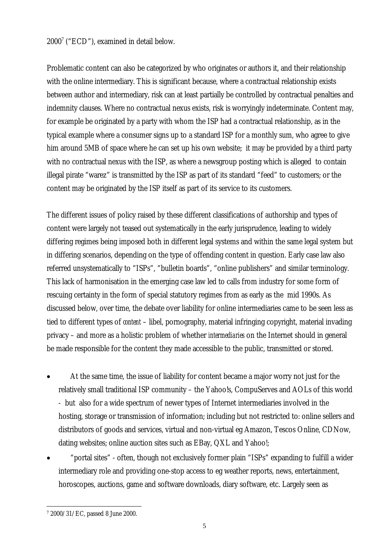$2000^7$  ("ECD"), examined in detail below.

Problematic content can also be categorized by who originates or authors it, and their relationship with the online intermediary. This is significant because, where a contractual relationship exists between author and intermediary, risk can at least partially be controlled by contractual penalties and indemnity clauses. Where no contractual nexus exists, risk is worryingly indeterminate. Content may, for example be originated by a party with whom the ISP had a contractual relationship, as in the typical example where a consumer signs up to a standard ISP for a monthly sum, who agree to give him around 5MB of space where he can set up his own website; it may be provided by a third party with no contractual nexus with the ISP, as where a newsgroup posting which is alleged to contain illegal pirate "warez" is transmitted by the ISP as part of its standard "feed" to customers; or the content may be originated by the ISP itself as part of its service to its customers.

The different issues of policy raised by these different classifications of authorship and types of content were largely not teased out systematically in the early jurisprudence, leading to widely differing regimes being imposed both in different legal systems and within the same legal system but in differing scenarios, depending on the type of offending content in question. Early case law also referred unsystematically to "ISPs", "bulletin boards", "online publishers" and similar terminology. This lack of harmonisation in the emerging case law led to calls from industry for some form of rescuing certainty in the form of special statutory regimes from as early as the mid 1990s. As discussed below, over time, the debate over liability for online intermediaries came to be seen less as tied to different types of *content* – libel, pornography, material infringing copyright, material invading privacy – and more as a holistic problem of whether *intermediaries* on the Internet should in general be made responsible for the content they made accessible to the public, transmitted or stored.

- At the same time, the issue of liability for content became a major worry not just for the relatively small traditional ISP community – the Yahoo!s, CompuServes and AOLs of this world - but also for a wide spectrum of newer types of Internet intermediaries involved in the hosting, storage or transmission of information; including but not restricted to: online sellers and distributors of goods and services, virtual and non-virtual eg Amazon, Tescos Online, CDNow, dating websites; online auction sites such as EBay, QXL and Yahoo!;
- "portal sites" often, though not exclusively former plain "ISPs" expanding to fulfill a wider intermediary role and providing one-stop access to eg weather reports, news, entertainment, horoscopes, auctions, game and software downloads, diary software, etc. Largely seen as

<sup>7</sup> 2000/31/EC, passed 8 June 2000.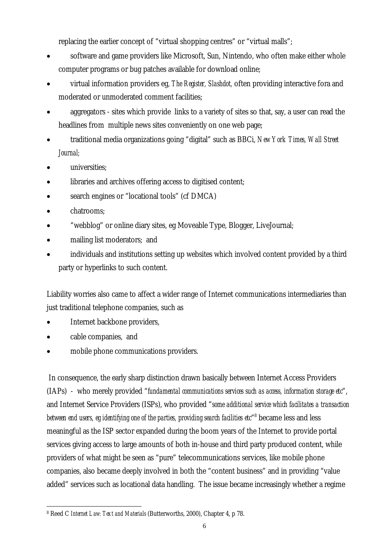replacing the earlier concept of "virtual shopping centres" or "virtual malls";

- software and game providers like Microsoft, Sun, Nintendo, who often make either whole computer programs or bug patches available for download online;
- virtual information providers eg, *The Register, Slashdot,* often providing interactive fora and moderated or unmoderated comment facilities;
- aggregators sites which provide links to a variety of sites so that, say, a user can read the headlines from multiple news sites conveniently on one web page;
- traditional media organizations going "digital" such as BBCi, *New York Times, Wall Street Journal;*
- universities;
- libraries and archives offering access to digitised content;
- search engines or "locational tools" (cf DMCA)
- chatrooms;
- "webblog" or online diary sites, eg Moveable Type, Blogger, LiveJournal;
- mailing list moderators; and
- individuals and institutions setting up websites which involved content provided by a third party or hyperlinks to such content.

Liability worries also came to affect a wider range of Internet communications intermediaries than just traditional telephone companies, such as

- Internet backbone providers,
- cable companies, and
- mobile phone communications providers.

 In consequence, the early sharp distinction drawn basically between Internet Access Providers (IAPs) - who merely provided "*fundamental communications services such as access, information storage etc*", and Internet Service Providers (ISPs), who provided "*some additional service which facilitates a transaction*  between end users, eg identifying one of the parties, providing search facilities etc<sup>"8</sup> became less and less meaningful as the ISP sector expanded during the boom years of the Internet to provide portal services giving access to large amounts of both in-house and third party produced content, while providers of what might be seen as "pure" telecommunications services, like mobile phone companies, also became deeply involved in both the "content business" and in providing "value added" services such as locational data handling. The issue became increasingly whether a regime

<sup>1</sup> 8 Reed C *Internet Law: Text and Materials* (Butterworths, 2000), Chapter 4, p 78.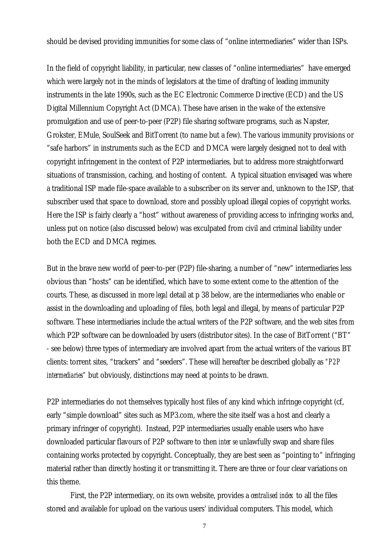should be devised providing immunities for some class of "online intermediaries" wider than ISPs.

In the field of copyright liability, in particular, new classes of "online intermediaries" have emerged which were largely not in the minds of legislators at the time of drafting of leading immunity instruments in the late 1990s, such as the EC Electronic Commerce Directive (ECD) and the US Digital Millennium Copyright Act (DMCA). These have arisen in the wake of the extensive promulgation and use of peer-to-peer (P2P) file sharing software programs, such as Napster, Grokster, EMule, SoulSeek and BitTorrent (to name but a few). The various immunity provisions or "safe harbors" in instruments such as the ECD and DMCA were largely designed not to deal with copyright infringement in the context of P2P intermediaries, but to address more straightforward situations of transmission, caching, and hosting of content. A typical situation envisaged was where a traditional ISP made file-space available to a subscriber on its server and, unknown to the ISP, that subscriber used that space to download, store and possibly upload illegal copies of copyright works. Here the ISP is fairly clearly a "host" without awareness of providing access to infringing works and, unless put on notice (also discussed below) was exculpated from civil and criminal liability under both the ECD and DMCA regimes.

But in the brave new world of peer-to-per (P2P) file-sharing, a number of "new" intermediaries less obvious than "hosts" can be identified, which have to some extent come to the attention of the courts. These, as discussed in more *legal* detail at p 38 below, are the intermediaries who enable or assist in the downloading and uploading of files, both legal and illegal, by means of particular P2P software. These intermediaries include the actual writers of the P2P software, and the web sites from which P2P software can be downloaded by users (distributor sites). In the case of BitTorrent ("BT" - see below) three types of intermediary are involved apart from the actual writers of the various BT clients: torrent sites, "trackers" and "seeders". These will hereafter be described globally as *"P2P intermediaries"* but obviously, distinctions may need at points to be drawn.

P2P intermediaries do not themselves typically host files of any kind which infringe copyright (cf, early "simple download" sites such as MP3.com, where the site itself was a host and clearly a primary infringer of copyright). Instead, P2P intermediaries usually enable users who have downloaded particular flavours of P2P software to then *inter se* unlawfully swap and share files containing works protected by copyright. Conceptually, they are best seen as "pointing to" infringing material rather than directly hosting it or transmitting it. There are three or four clear variations on this theme.

First, the P2P intermediary, on its own website, provides a *centralised index* to all the files stored and available for upload on the various users' individual computers. This model, which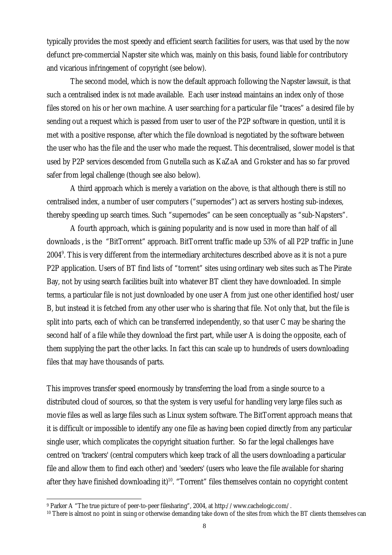typically provides the most speedy and efficient search facilities for users, was that used by the now defunct pre-commercial Napster site which was, mainly on this basis, found liable for contributory and vicarious infringement of copyright (see below).

The second model, which is now the default approach following the Napster lawsuit, is that such a centralised index is *not* made available. Each user instead maintains an index only of those files stored on his or her own machine. A user searching for a particular file "traces" a desired file by sending out a request which is passed from user to user of the P2P software in question, until it is met with a positive response, after which the file download is negotiated by the software between the user who has the file and the user who made the request. This decentralised, slower model is that used by P2P services descended from Gnutella such as KaZaA and Grokster and has so far proved safer from legal challenge (though see also below).

 A third approach which is merely a variation on the above, is that although there is still no centralised index, a number of user computers ("supernodes") act as servers hosting sub-indexes, thereby speeding up search times. Such "supernodes" can be seen conceptually as "sub-Napsters".

 A fourth approach, which is gaining popularity and is now used in more than half of all downloads , is the "BitTorrent" approach. BitTorrent traffic made up 53% of all P2P traffic in June 2004<sup>9</sup>. This is very different from the intermediary architectures described above as it is not a pure P2P application. Users of BT find lists of "torrent" sites using ordinary web sites such as The Pirate Bay, not by using search facilities built into whatever BT client they have downloaded. In simple terms, a particular file is not just downloaded by one user A from just one other identified host/user B, but instead it is fetched from any other user who is sharing that file. Not only that, but the file is split into parts, each of which can be transferred independently, so that user C may be sharing the second half of a file while they download the first part, while user A is doing the opposite, each of them supplying the part the other lacks. In fact this can scale up to hundreds of users downloading files that may have thousands of parts.

This improves transfer speed enormously by transferring the load from a single source to a distributed cloud of sources, so that the system is very useful for handling very large files such as movie files as well as large files such as Linux system software. The BitTorrent approach means that it is difficult or impossible to identify any one file as having been copied directly from any particular single user, which complicates the copyright situation further. So far the legal challenges have centred on 'trackers' (central computers which keep track of all the users downloading a particular file and allow them to find each other) and 'seeders' (users who leave the file available for sharing after they have finished downloading it)<sup>10</sup>. "Torrent" files themselves contain no copyright content

<sup>9</sup> Parker A "The true picture of peer-to-peer filesharing", 2004, at http://www.cachelogic.com/.

<sup>&</sup>lt;sup>10</sup> There is almost no point in suing or otherwise demanding take down of the sites from which the BT clients themselves can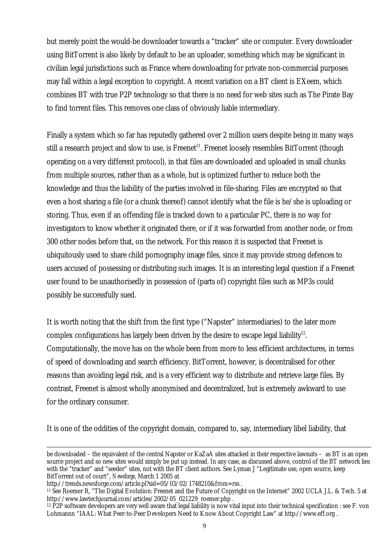but merely point the would-be downloader towards a "tracker" site or computer. Every downloader using BitTorrent is also likely by default to be an uploader, something which may be significant in civilian legal jurisdictions such as France where downloading for private non-commercial purposes may fall within a legal exception to copyright. A recent variation on a BT client is EXeem, which combines BT with true P2P technology so that there is no need for web sites such as The Pirate Bay to find torrent files. This removes one class of obviously liable intermediary.

Finally a system which so far has reputedly gathered over 2 million users despite being in many ways still a research project and slow to use, is Freenet<sup>11</sup>. Freenet loosely resembles BitTorrent (though operating on a very different protocol), in that files are downloaded and uploaded in small chunks from multiple sources, rather than as a whole, but is optimized further to reduce both the knowledge and thus the liability of the parties involved in file-sharing. Files are encrypted so that even a host sharing a file (or a chunk thereof) cannot identify what the file is he/she is uploading or storing. Thus, even if an offending file is tracked down to a particular PC, there is no way for investigators to know whether it originated there, or if it was forwarded from another node, or from 300 other nodes before that, on the network*.* For this reason it is suspected that Freenet is ubiquitously used to share child pornography image files, since it may provide strong defences to users accused of possessing or distributing such images. It is an interesting legal question if a Freenet user found to be unauthorisedly in possession of (parts of) copyright files such as MP3s could possibly be successfully sued.

It is worth noting that the shift from the first type ("Napster" intermediaries) to the later more complex configurations has largely been driven by the desire to escape legal liability<sup>12</sup>. Computationally, the move has on the whole been from more to less efficient architectures, in terms of speed of downloading and search efficiency. BitTorrent, however, is decentralised for other reasons than avoiding legal risk, and is a very efficient way to distribute and retrieve large files. By contrast, Freenet is almost wholly anonymised and decentralized, but is extremely awkward to use for the ordinary consumer.

It is one of the oddities of the copyright domain, compared to, say, intermediary libel liability, that

1

11 See Roemer R, "The Digital Evolution: Freenet and the Future of Copyright on the Internet" 2002 UCLA J.L. & Tech. 5 at http://www.lawtechjournal.com/articles/2002/05\_021229\_roemer.php .

be downloaded – the equivalent of the central Napster or KaZaA sites attacked in their respective lawsuits – as BT is an open source project and so new sites would simply be put up instead. In any case, as discussed above, control of the BT network lies with the "tracker" and "seeder" sites, not with the BT client authors. See Lyman J "Legitimate use, open source, keep BitTorrent out of court", *Newsforge*, March 1 2005 at

http://trends.newsforge.com/article.pl?sid=05/03/02/1748210&from=rss .

<sup>&</sup>lt;sup>12</sup> P2P software developers are very well aware that legal liability is now vital input into their technical specification : see F. von Lohmannn "IAAL: What Peer-to-Peer Developers Need to Know About Copyright Law" at http://www.eff.org .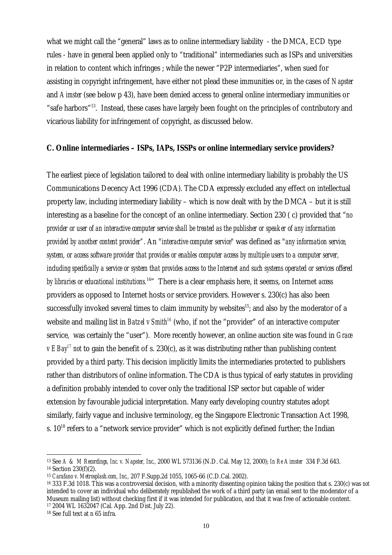what we might call the "general" laws as to online intermediary liability - the DMCA, ECD type rules - have in general been applied only to "traditional" intermediaries such as ISPs and universities in relation to content which infringes ; while the newer "P2P intermediaries", when sued for assisting in copyright infringement, have either not plead these immunities or, in the cases of *Napster* and *Aimster* (see below p 43), have been denied access to general online intermediary immunities or "safe harbors"13. Instead, these cases have largely been fought on the principles of contributory and vicarious liability for infringement of copyright, as discussed below.

#### **C. Online intermediaries – ISPs, IAPs, ISSPs or online intermediary service providers?**

The earliest piece of legislation tailored to deal with online intermediary liability is probably the US Communications Decency Act 1996 (CDA). The CDA expressly excluded any effect on intellectual property law, including intermediary liability – which is now dealt with by the DMCA – but it is still interesting as a baseline for the concept of an online intermediary. Section 230 ( c) provided that "*no provider or user of an interactive computer service shall be treated as the publisher or speaker of any information provided by another content provider"*. An "*interactive computer service*" was defined as "*any information service, system, or access software provider that provides or enables computer access by multiple users to a computer server,*  including specifically a service or system that provides access to the Internet and such systems operated or services offered *by libraries or educational institutions.*14" There is a clear emphasis here, it seems, on Internet *access* providers as opposed to Internet hosts or service providers. However s. 230(c) has also been successfully invoked several times to claim immunity by websites<sup>15</sup>; and also by the moderator of a website and mailing list in Batzel v Smith<sup>16</sup> (who, if not the "provider" of an interactive computer service, was certainly the "user"). More recently however, an online auction site was found in *Grace v EBay17 not* to gain the benefit of s. 230(c), as it was distributing rather than publishing content provided by a third party. This decision implicitly limits the intermediaries protected to publishers rather than distributors of online information. The CDA is thus typical of early statutes in providing a definition probably intended to cover only the traditional ISP sector but capable of wider extension by favourable judicial interpretation. Many early developing country statutes adopt similarly, fairly vague and inclusive terminology, eg the Singapore Electronic Transaction Act 1998, s.  $10^{18}$  refers to a "network service provider" which is not explicitly defined further; the Indian

<sup>13</sup> See *A & M Recordings, Inc. v. Napster, Inc.,* 2000 WL 573136 (N.D. Cal. May 12, 2000); *In Re Aimster* 334 F.3d 643. 14 Section 230(f)(2).

<sup>15</sup> *Carafano v. Metrosplash.com, Inc.,* 207 F.Supp.2d 1055, 1065-66 (C.D.Cal. 2002).

<sup>16 333</sup> F.3d 1018. This was a controversial decision, with a minority dissenting opinion taking the position that s. 230(c) was *not* intended to cover an individual who deliberately republished the work of a third party (an email sent to the moderator of a Museum mailing list) without checking first if it was intended for publication, and that it was free of actionable content. <sup>17</sup> 2004 WL 1632047 (Cal. App. 2nd Dist. July 22).

<sup>18</sup> See full text at n 65 infra.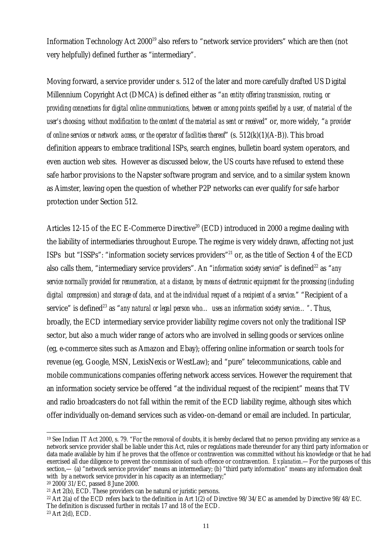Information Technology Act 2000<sup>19</sup> also refers to "network service providers" which are then (not very helpfully) defined further as "intermediary".

Moving forward, a service provider under s. 512 of the later and more carefully drafted US Digital Millennium Copyright Act (DMCA) is defined either as "*an entity offering transmission, routing, or providing connections for digital online communications, between or among points specified by a user, of material of the user's choosing, without modification to the content of the material as sent or received*" or, more widely, "*a provider of online services or network access, or the operator of facilities thereof*" (s. 512(k)(1)(A-B)). This broad definition appears to embrace traditional ISPs, search engines, bulletin board system operators, and even auction web sites. However as discussed below, the US courts have refused to extend these safe harbor provisions to the Napster software program and service, and to a similar system known as Aimster, leaving open the question of whether P2P networks can ever qualify for safe harbor protection under Section 512.

Articles 12-15 of the EC E-Commerce Directive<sup>20</sup> (ECD) introduced in 2000 a regime dealing with the liability of intermediaries throughout Europe. The regime is very widely drawn, affecting not just ISPs but "ISSPs": "information society services providers"21 or, as the title of Section 4 of the ECD also calls them, "intermediary service providers". An "information society service" is defined<sup>22</sup> as "any *service normally provided for renumeration, at a distance, by means of electronic equipment for the processing (including digital compression) and storage of data, and at the individual request of a recipient of a service*." "Recipient of a service" is defined<sup>23</sup> as "any natural or legal person who... uses an information society service...". Thus, broadly, the ECD intermediary service provider liability regime covers not only the traditional ISP sector, but also a much wider range of actors who are involved in selling goods or services online (eg, e-commerce sites such as Amazon and Ebay); offering online information or search tools for revenue (eg, Google, MSN, LexisNexis or WestLaw); and "pure" telecommunications, cable and mobile communications companies offering network access services. However the requirement that an information society service be offered "at the individual request of the recipient" means that TV and radio broadcasters do not fall within the remit of the ECD liability regime, although sites which offer individually on-demand services such as video-on-demand or email are included. In particular,

<sup>19</sup> See Indian IT Act 2000, s. 79. "For the removal of doubts, it is hereby declared that no person providing any service as a network service provider shall be liable under this Act, rules or regulations made thereunder for any third party information or data made available by him if he proves that the offence or contravention was committed without his knowledge or that he had exercised all due diligence to prevent the commission of such offence or contravention. *Explanation*.—For the purposes of this section,— (a) "network service provider" means an intermediary; (b) "third party information" means any information dealt with by a network service provider in his capacity as an intermediary;"

<sup>20</sup> 2000/31/EC, passed 8 June 2000.

 $21$  Art  $2(b)$ , ECD. These providers can be natural or juristic persons.

<sup>&</sup>lt;sup>22</sup> Art 2(a) of the ECD refers back to the definition in Art 1(2) of Directive  $98/34/EC$  as amended by Directive  $98/48/EC$ . The definition is discussed further in recitals 17 and 18 of the ECD.

<sup>23</sup> Art 2(d), ECD.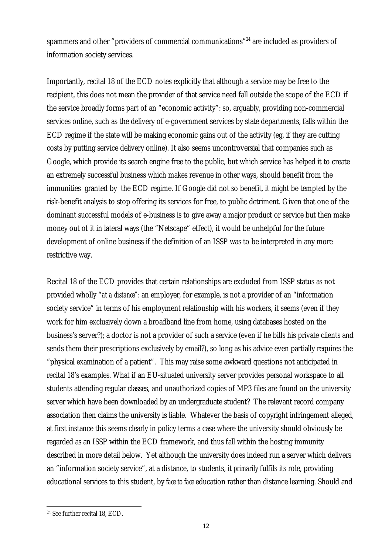spammers and other "providers of commercial communications"<sup>24</sup> are included as providers of information society services.

Importantly, recital 18 of the ECD notes explicitly that although a service may be free to the recipient, this does not mean the provider of that service need fall outside the scope of the ECD if the service broadly forms part of an "economic activity": so, arguably, providing non-commercial services online, such as the delivery of e-government services by state departments, falls within the ECD regime if the state will be making economic gains out of the activity (eg, if they are cutting costs by putting service delivery online). It also seems uncontroversial that companies such as Google, which provide its search engine free to the public, but which service has helped it to create an extremely successful business which makes revenue in other ways, should benefit from the immunities granted by the ECD regime. If Google did not so benefit, it might be tempted by the risk-benefit analysis to stop offering its services for free, to public detriment. Given that one of the dominant successful models of e-business is to give away a major product or service but then make money out of it in lateral ways (the "Netscape" effect), it would be unhelpful for the future development of online business if the definition of an ISSP was to be interpreted in any more restrictive way.

Recital 18 of the ECD provides that certain relationships are excluded from ISSP status as not provided wholly "*at a distance"*: an employer, for example, is not a provider of an "information society service" in terms of his employment relationship with his workers, it seems (even if they work for him exclusively down a broadband line from home, using databases hosted on the business's server?); a doctor is not a provider of such a service (even if he bills his private clients and sends them their prescriptions exclusively by email?), so long as his advice even partially requires the "physical examination of a patient". This may raise some awkward questions not anticipated in recital 18's examples. What if an EU-situated university server provides personal workspace to all students attending regular classes, and unauthorized copies of MP3 files are found on the university server which have been downloaded by an undergraduate student? The relevant record company association then claims the university is liable. Whatever the basis of copyright infringement alleged, at first instance this seems clearly in policy terms a case where the university should obviously be regarded as an ISSP within the ECD framework, and thus fall within the hosting immunity described in more detail below. Yet although the university does indeed run a server which delivers an "information society service", at a distance, to students, it *primarily* fulfils its role, providing educational services to this student, by *face to face* education rather than distance learning. Should and

<sup>24</sup> See further recital 18, ECD.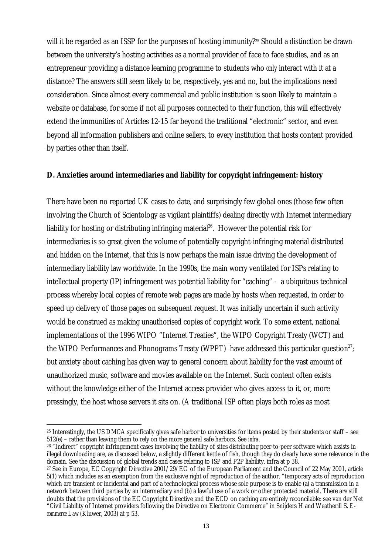will it be regarded as an ISSP for the purposes of hosting immunity?<sup>25</sup> Should a distinction be drawn between the university's hosting activities as a normal provider of face to face studies, and as an entrepreneur providing a distance learning programme to students who *only* interact with it at a distance? The answers still seem likely to be, respectively, yes and no, but the implications need consideration. Since almost every commercial and public institution is soon likely to maintain a website or database, for some if not all purposes connected to their function, this will effectively extend the immunities of Articles 12-15 far beyond the traditional "electronic" sector, and even beyond all information publishers and online sellers, to every institution that hosts content provided by parties other than itself.

### **D. Anxieties around intermediaries and liability for copyright infringement: history**

There have been no reported UK cases to date, and surprisingly few global ones (those few often involving the Church of Scientology as vigilant plaintiffs) dealing directly with Internet intermediary liability for hosting or distributing infringing material<sup>26</sup>. However the potential risk for intermediaries is so great given the volume of potentially copyright-infringing material distributed and hidden on the Internet, that this is now perhaps the main issue driving the development of intermediary liability law worldwide. In the 1990s, the main worry ventilated for ISPs relating to intellectual property (IP) infringement was potential liability for "caching" - a ubiquitous technical process whereby local copies of remote web pages are made by hosts when requested, in order to speed up delivery of those pages on subsequent request. It was initially uncertain if such activity would be construed as making unauthorised copies of copyright work. To some extent, national implementations of the 1996 WIPO "Internet Treaties", the WIPO Copyright Treaty (WCT) and the WIPO Performances and Phonograms Treaty (WPPT) have addressed this particular question<sup>27</sup>; but anxiety about caching has given way to general concern about liability for the vast amount of unauthorized music, software and movies available on the Internet. Such content often exists without the knowledge either of the Internet access provider who gives access to it, or, more pressingly, the host whose servers it sits on. (A traditional ISP often plays both roles as most

<sup>25</sup> Interestingly, the US DMCA specifically gives safe harbor to universities for items posted by their students or staff – see 512(e) – rather than leaving them to rely on the more general safe harbors. See *infra*.

<sup>&</sup>lt;sup>26</sup> "Indirect" copyright infringement cases involving the liability of sites distributing peer-to-peer software which assists in illegal downloading are, as discussed below, a slightly different kettle of fish, though they do clearly have some relevance in the domain. See the discussion of global trends and cases relating to ISP and P2P liability, infra at p 38.

<sup>&</sup>lt;sup>27</sup> See in Europe, EC Copyright Directive 2001/29/EG of the European Parliament and the Council of 22 May 2001, article 5(1) which includes as an exemption from the exclusive right of reproduction of the author, "temporary acts of reproduction which are transient or incidental and part of a technological process whose sole purpose is to enable (a) a transmission in a network between third parties by an intermediary and (b) a lawful use of a work or other protected material. There are still doubts that the provisions of the EC Copyright Directive and the ECD on caching are entirely reconcilable: see van der Net "Civil Liability of Internet providers following the Directive on Electronic Commerce" in Snijders H and Weatherill S. *Ecommerce Law (*Kluwer, 2003) at p 53.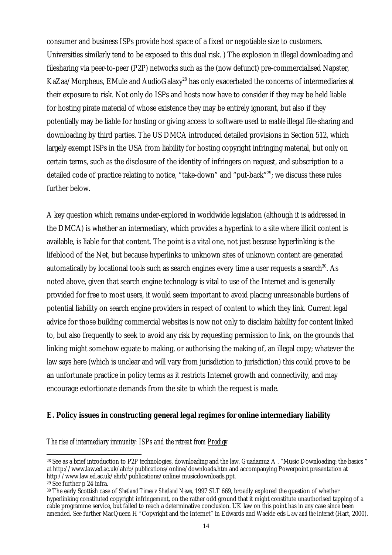consumer and business ISPs provide host space of a fixed or negotiable size to customers. Universities similarly tend to be exposed to this dual risk. ) The explosion in illegal downloading and filesharing via peer-to-peer (P2P) networks such as the (now defunct) pre-commercialised Napster, KaZaa/Morpheus, EMule and AudioGalaxy<sup>28</sup> has only exacerbated the concerns of intermediaries at their exposure to risk. Not only do ISPs and hosts now have to consider if they may be held liable for hosting pirate material of whose existence they may be entirely ignorant, but also if they potentially may be liable for hosting or giving access to software used to *enable* illegal file-sharing and downloading by third parties. The US DMCA introduced detailed provisions in Section 512, which largely exempt ISPs in the USA from liability for hosting copyright infringing material, but only on certain terms, such as the disclosure of the identity of infringers on request, and subscription to a detailed code of practice relating to notice, "take-down" and "put-back"29; we discuss these rules further below.

A key question which remains under-explored in worldwide legislation (although it is addressed in the DMCA) is whether an intermediary, which provides a hyperlink to a site where illicit content is available, is liable for that content. The point is a vital one, not just because hyperlinking is the lifeblood of the Net, but because hyperlinks to unknown sites of unknown content are generated automatically by locational tools such as search engines every time a user requests a search<sup>30</sup>. As noted above, given that search engine technology is vital to use of the Internet and is generally provided for free to most users, it would seem important to avoid placing unreasonable burdens of potential liability on search engine providers in respect of content to which they link. Current legal advice for those building commercial websites is now not only to disclaim liability for content linked to, but also frequently to seek to avoid any risk by requesting permission to link, on the grounds that linking might somehow equate to making, or authorising the making of, an illegal copy; whatever the law says here (which is unclear and will vary from jurisdiction to jurisdiction) this could prove to be an unfortunate practice in policy terms as it restricts Internet growth and connectivity, and may encourage extortionate demands from the site to which the request is made.

**E. Policy issues in constructing general legal regimes for online intermediary liability**

*The rise of intermediary immunity: ISPs and the retreat from Prodigy*

<sup>28</sup> See as a brief introduction to P2P technologies, downloading and the law, Guadamuz A . "Music Downloading: the basics " at http://www.law.ed.ac.uk/ahrb/publications/online/downloads.htm and accompanying Powerpoint presentation at http://www.law.ed.ac.uk/ahrb/publications/online/musicdownloads.ppt.

<sup>29</sup> See further p 24 infra.

<sup>30</sup> The early Scottish case of *Shetland Times v Shetland News,* 1997 SLT 669, broadly explored the question of whether hyperlinking constituted copyright infringement, on the rather odd ground that it might constitute unauthorised tapping of a cable programme service, but failed to reach a determinative conclusion. UK law on this point has in any case since been amended. See further MacQueen H "Copyright and the Internet" in Edwards and Waelde eds *Law and the Internet* (Hart, 2000).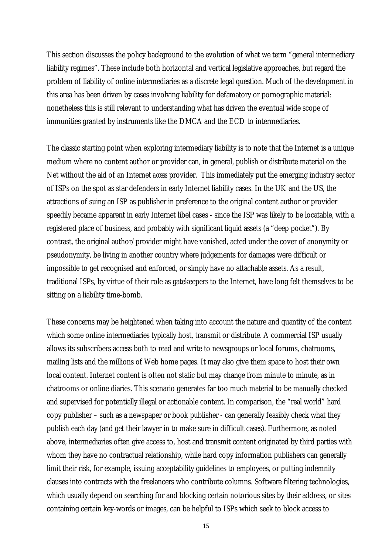This section discusses the policy background to the evolution of what we term "general intermediary liability regimes". These include both horizontal and vertical legislative approaches, but regard the problem of liability of online intermediaries as a discrete legal question. Much of the development in this area has been driven by cases involving liability for defamatory or pornographic material: nonetheless this is still relevant to understanding what has driven the eventual wide scope of immunities granted by instruments like the DMCA and the ECD to intermediaries.

The classic starting point when exploring intermediary liability is to note that the Internet is a unique medium where no content author or provider can, in general, publish or distribute material on the Net without the aid of an Internet *access* provider. This immediately put the emerging industry sector of ISPs on the spot as star defenders in early Internet liability cases. In the UK and the US, the attractions of suing an ISP as publisher in preference to the original content author or provider speedily became apparent in early Internet libel cases - since the ISP was likely to be locatable, with a registered place of business, and probably with significant liquid assets (a "deep pocket"). By contrast, the original author/provider might have vanished, acted under the cover of anonymity or pseudonymity, be living in another country where judgements for damages were difficult or impossible to get recognised and enforced, or simply have no attachable assets. As a result, traditional ISPs, by virtue of their role as gatekeepers to the Internet, have long felt themselves to be sitting on a liability time-bomb.

These concerns may be heightened when taking into account the nature and quantity of the content which some online intermediaries typically host, transmit or distribute. A commercial ISP usually allows its subscribers access both to read and write to newsgroups or local forums, chatrooms, mailing lists and the millions of Web home pages. It may also give them space to host their own local content. Internet content is often not static but may change from minute to minute, as in chatrooms or online diaries. This scenario generates far too much material to be manually checked and supervised for potentially illegal or actionable content. In comparison, the "real world" hard copy publisher – such as a newspaper or book publisher - can generally feasibly check what they publish each day (and get their lawyer in to make sure in difficult cases). Furthermore, as noted above, intermediaries often give access to, host and transmit content originated by third parties with whom they have no contractual relationship, while hard copy information publishers can generally limit their risk, for example, issuing acceptability guidelines to employees, or putting indemnity clauses into contracts with the freelancers who contribute columns. Software filtering technologies, which usually depend on searching for and blocking certain notorious sites by their address, or sites containing certain key-words or images, can be helpful to ISPs which seek to block access to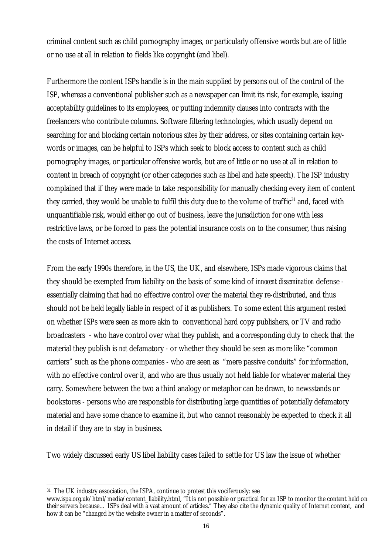criminal content such as child pornography images, or particularly offensive words but are of little or no use at all in relation to fields like copyright (and libel).

Furthermore the content ISPs handle is in the main supplied by persons out of the control of the ISP, whereas a conventional publisher such as a newspaper can limit its risk, for example, issuing acceptability guidelines to its employees, or putting indemnity clauses into contracts with the freelancers who contribute columns. Software filtering technologies, which usually depend on searching for and blocking certain notorious sites by their address, or sites containing certain keywords or images, can be helpful to ISPs which seek to block access to content such as child pornography images, or particular offensive words, but are of little or no use at all in relation to content in breach of copyright (or other categories such as libel and hate speech). The ISP industry complained that if they were made to take responsibility for manually checking every item of content they carried, they would be unable to fulfil this duty due to the volume of traffic $31$  and, faced with unquantifiable risk, would either go out of business, leave the jurisdiction for one with less restrictive laws, or be forced to pass the potential insurance costs on to the consumer, thus raising the costs of Internet access.

From the early 1990s therefore, in the US, the UK, and elsewhere, ISPs made vigorous claims that they should be exempted from liability on the basis of some kind of *innocent dissemination* defense essentially claiming that had no effective control over the material they re-distributed, and thus should not be held legally liable in respect of it as publishers. To some extent this argument rested on whether ISPs were seen as more akin to conventional hard copy publishers, or TV and radio broadcasters - who have control over what they publish, and a corresponding duty to check that the material they publish is *not* defamatory - or whether they should be seen as more like "common carriers" such as the phone companies - who are seen as "mere passive conduits" for information, with no effective control over it, and who are thus usually not held liable for whatever material they carry. Somewhere between the two a third analogy or metaphor can be drawn, to newsstands or bookstores - persons who are responsible for distributing large quantities of potentially defamatory material and have some chance to examine it, but who cannot reasonably be expected to check it all in detail if they are to stay in business.

Two widely discussed early US libel liability cases failed to settle for US law the issue of whether

<sup>1</sup> 31 The UK industry association, the ISPA, continue to protest this vociferously: see

www.ispa.org.uk/html/media/content\_liability.html, "It is not possible or practical for an ISP to monitor the content held on their servers because… ISPs deal with a vast amount of articles." They also cite the dynamic quality of Internet content, and how it can be "changed by the website owner in a matter of seconds".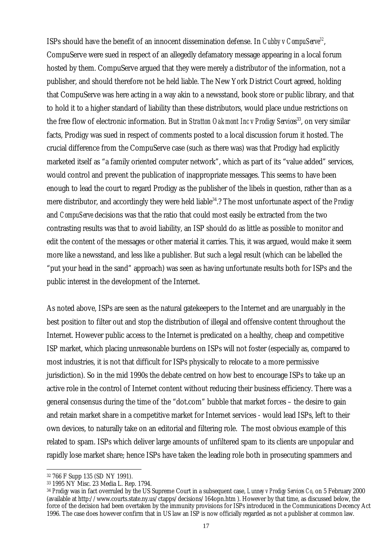ISPs should have the benefit of an innocent dissemination defense. In *Cubby v CompuServe32*, CompuServe were sued in respect of an allegedly defamatory message appearing in a local forum hosted by them. CompuServe argued that they were merely a distributor of the information, not a publisher, and should therefore not be held liable. The New York District Court agreed, holding that CompuServe was here acting in a way akin to a newsstand, book store or public library, and that to hold it to a higher standard of liability than these distributors, would place undue restrictions on the free flow of electronic information. But in *Stratton Oakmont Inc v Prodigy Services*<sup>33</sup>, on very similar facts, Prodigy was sued in respect of comments posted to a local discussion forum it hosted. The crucial difference from the CompuServe case (such as there was) was that Prodigy had explicitly marketed itself as "a family oriented computer network", which as part of its "value added" services, would control and prevent the publication of inappropriate messages. This seems to have been enough to lead the court to regard Prodigy as the publisher of the libels in question, rather than as a mere distributor, and accordingly they were held liable<sup>34</sup>.? The most unfortunate aspect of the Prodigy and *CompuServe* decisions was that the ratio that could most easily be extracted from the two contrasting results was that to avoid liability, an ISP should do as little as possible to monitor and edit the content of the messages or other material it carries. This, it was argued, would make it seem more like a newsstand, and less like a publisher. But such a legal result (which can be labelled the "put your head in the sand" approach) was seen as having unfortunate results both for ISPs and the public interest in the development of the Internet.

As noted above, ISPs are seen as the natural gatekeepers to the Internet and are unarguably in the best position to filter out and stop the distribution of illegal and offensive content throughout the Internet. However public access to the Internet is predicated on a healthy, cheap and competitive ISP market, which placing unreasonable burdens on ISPs will not foster (especially as, compared to most industries, it is not that difficult for ISPs physically to relocate to a more permissive jurisdiction). So in the mid 1990s the debate centred on how best to encourage ISPs to take up an active role in the control of Internet content without reducing their business efficiency. There was a general consensus during the time of the "dot.com" bubble that market forces – the desire to gain and retain market share in a competitive market for Internet services - would lead ISPs, left to their own devices, to naturally take on an editorial and filtering role. The most obvious example of this related to spam. ISPs which deliver large amounts of unfiltered spam to its clients are unpopular and rapidly lose market share; hence ISPs have taken the leading role both in prosecuting spammers and

<sup>32 766</sup> F Supp 135 (SD NY 1991).

<sup>33 1995</sup> NY Misc. 23 Media L. Rep. 1794.

<sup>34</sup> *Prodigy* was in fact overruled by the US Supreme Court in a subsequent case, *Lunney v Prodigy Services Co*, on 5 February 2000 (available at http://www.courts.state.ny.us/ctapps/decisions/164opn.htm ). However by that time, as discussed below, the force of the decision had been overtaken by the immunity provisions for ISPs introduced in the Communications Decency Act 1996. The case does however confirm that in US law an ISP is now officially regarded as not a publisher at common law.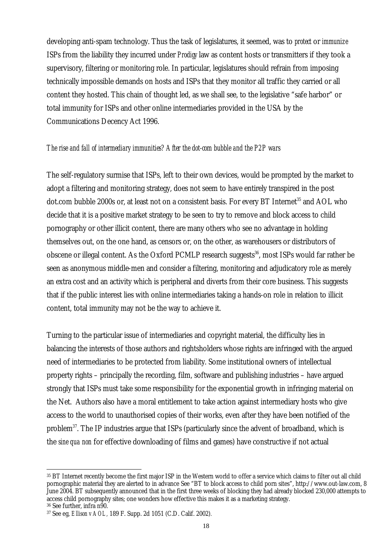developing anti-spam technology. Thus the task of legislatures, it seemed, was to *protect* or *immunize* ISPs from the liability they incurred under *Prodigy* law as content hosts or transmitters if they took a supervisory, filtering or monitoring role. In particular, legislatures should refrain from imposing technically impossible demands on hosts and ISPs that they monitor all traffic they carried or all content they hosted. This chain of thought led, as we shall see, to the legislative "safe harbor" or total immunity for ISPs and other online intermediaries provided in the USA by the Communications Decency Act 1996.

*The rise and fall of intermediary immunities? After the dot-com bubble and the P2P wars*

The self-regulatory surmise that ISPs, left to their own devices, would be prompted by the market to adopt a filtering and monitoring strategy, does not seem to have entirely transpired in the post dot.com bubble 2000s or, at least not on a consistent basis. For every BT Internet<sup>35</sup> and AOL who decide that it is a positive market strategy to be seen to try to remove and block access to child pornography or other illicit content, there are many others who see no advantage in holding themselves out, on the one hand, as censors or, on the other, as warehousers or distributors of obscene or illegal content. As the Oxford PCMLP research suggests<sup>36</sup>, most ISPs would far rather be seen as anonymous middle-men and consider a filtering, monitoring and adjudicatory role as merely an extra cost and an activity which is peripheral and diverts from their core business. This suggests that if the public interest lies with online intermediaries taking a hands-on role in relation to illicit content, total immunity may not be the way to achieve it.

Turning to the particular issue of intermediaries and copyright material, the difficulty lies in balancing the interests of those authors and rightsholders whose rights are infringed with the argued need of intermediaries to be protected from liability. Some institutional owners of intellectual property rights – principally the recording, film, software and publishing industries – have argued strongly that ISPs must take some responsibility for the exponential growth in infringing material on the Net. Authors also have a moral entitlement to take action against intermediary hosts who give access to the world to unauthorised copies of their works, even after they have been notified of the problem<sup>37</sup>. The IP industries argue that ISPs (particularly since the advent of broadband, which is the *sine qua non* for effective downloading of films and games) have constructive if not actual

<sup>&</sup>lt;sup>35</sup> BT Internet recently become the first major ISP in the Western world to offer a service which claims to filter out all child pornographic material they are alerted to in advance See "BT to block access to child porn sites", http://www.out-law.com, 8 June 2004. BT subsequently announced that in the first three weeks of blocking they had already blocked 230,000 attempts to access child pornography sites; one wonders how effective this makes it as a marketing strategy. <sup>36</sup> See further, infra n90.

<sup>37</sup> See eg, *Ellison v AOL,* 189 F. Supp. 2d 1051 (C.D. Calif. 2002)*.*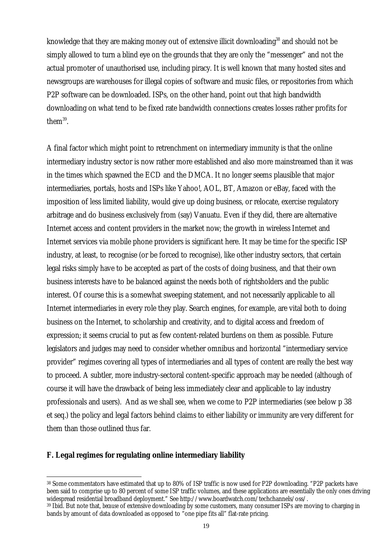knowledge that they are making money out of extensive illicit downloading<sup>38</sup> and should not be simply allowed to turn a blind eye on the grounds that they are only the "messenger" and not the actual promoter of unauthorised use, including piracy. It is well known that many hosted sites and newsgroups are warehouses for illegal copies of software and music files, or repositories from which P2P software can be downloaded. ISPs, on the other hand, point out that high bandwidth downloading on what tend to be fixed rate bandwidth connections creates losses rather profits for them $39$ .

A final factor which might point to retrenchment on intermediary immunity is that the online intermediary industry sector is now rather more established and also more mainstreamed than it was in the times which spawned the ECD and the DMCA. It no longer seems plausible that major intermediaries, portals, hosts and ISPs like Yahoo!, AOL, BT, Amazon or eBay, faced with the imposition of less limited liability, would give up doing business, or relocate, exercise regulatory arbitrage and do business exclusively from (say) Vanuatu. Even if they did, there are alternative Internet access and content providers in the market now; the growth in wireless Internet and Internet services via mobile phone providers is significant here. It may be time for the specific ISP industry, at least, to recognise (or be forced to recognise), like other industry sectors, that certain legal risks simply have to be accepted as part of the costs of doing business, and that their own business interests have to be balanced against the needs both of rightsholders and the public interest. Of course this is a somewhat sweeping statement, and not necessarily applicable to all Internet intermediaries in every role they play. Search engines, for example, are vital both to doing business on the Internet, to scholarship and creativity, and to digital access and freedom of expression; it seems crucial to put as few content-related burdens on them as possible. Future legislators and judges may need to consider whether omnibus and horizontal "intermediary service provider" regimes covering all types of intermediaries and all types of content are really the best way to proceed. A subtler, more industry-sectoral content-specific approach may be needed (although of course it will have the drawback of being less immediately clear and applicable to lay industry professionals and users). And as we shall see, when we come to P2P intermediaries (see below p 38 et seq.) the policy and legal factors behind claims to either liability or immunity are very different for them than those outlined thus far.

**F. Legal regimes for regulating online intermediary liability**

<sup>38</sup> Some commentators have estimated that up to 80% of ISP traffic is now used for P2P downloading. "P2P packets have been said to comprise up to 80 percent of some ISP traffic volumes, and these applications are essentially the only ones driving widespread residential broadband deployment." See http://www.boardwatch.com/techchannels/oss/.

<sup>&</sup>lt;sup>39</sup> Ibid. But note that, because of extensive downloading by some customers, many consumer ISPs are moving to charging in bands by amount of data downloaded as opposed to "one pipe fits all" flat-rate pricing.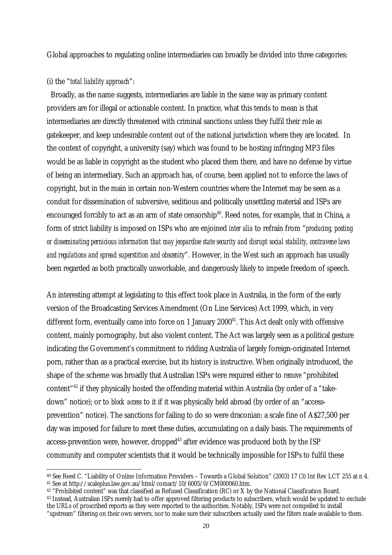Global approaches to regulating online intermediaries can broadly be divided into three categories:

(i) the "*total liability approach*":

1

 Broadly, as the name suggests, intermediaries are liable in the same way as primary content providers are for illegal or actionable content. In practice, what this tends to mean is that intermediaries are directly threatened with criminal sanctions unless they fulfil their role as gatekeeper, and keep undesirable content out of the national jurisdiction where they are located. In the context of copyright, a university (say) which was found to be hosting infringing MP3 files would be as liable in copyright as the student who placed them there, and have no defense by virtue of being an intermediary. Such an approach has, of course, been applied not to enforce the laws of copyright, but in the main in certain non-Western countries where the Internet may be seen as a conduit for dissemination of subversive, seditious and politically unsettling material and ISPs are encouraged forcibly to act as an arm of state censorship<sup>40</sup>. Reed notes, for example, that in China, a form of strict liability is imposed on ISPs who are enjoined *inter alia* to refrain from "*producing, posting or disseminating pernicious information that may jeopardise state security and disrupt social stability, contravene laws and regulations and spread superstition and obscenity*". However, in the West such an approach has usually been regarded as both practically unworkable, and dangerously likely to impede freedom of speech.

An interesting attempt at legislating to this effect took place in Australia, in the form of the early version of the Broadcasting Services Amendment (On Line Services) Act 1999, which, in very different form, eventually came into force on 1 January 2000<sup>41</sup>. This Act dealt only with offensive content, mainly pornography, but also violent content. The Act was largely seen as a political gesture indicating the Government's commitment to ridding Australia of largely foreign-originated Internet porn, rather than as a practical exercise, but its history is instructive. When originally introduced, the shape of the scheme was broadly that Australian ISPs were required either to *remove* "prohibited content"42 if they physically hosted the offending material within Australia (by order of a "takedown" notice); or to *block access* to it if it was physically held abroad (by order of an "accessprevention" notice). The sanctions for failing to do so were draconian: a scale fine of A\$27,500 per day was imposed for failure to meet these duties, accumulating on a daily basis. The requirements of access-prevention were, however, dropped<sup>43</sup> after evidence was produced both by the ISP community and computer scientists that it would be technically impossible for ISPs to fulfil these

43 Instead, Australian ISPs merely had to offer approved filtering products to subscribers, which would be updated to exclude the URLs of proscribed reports as they were reported to the authorities. Notably, ISPs were not compelled to install "upstream" filtering on their own servers, nor to make sure their subscribers actually used the filters made available to them.

<sup>40</sup> See Reed C. "Liability of Online Information Providers – Towards a Global Solution" (2003) 17 (3) Int Rev LCT 255 at n 4. 41 See at http://scaleplus.law.gov.au/html/comact/10/6005/0/CM000060.htm.

<sup>&</sup>lt;sup>42</sup> "Prohibited content" was that classified as Refused Classification (RC) or X by the National Classification Board.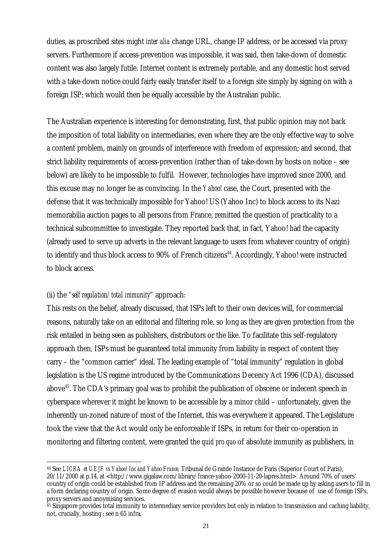duties, as proscribed sites might *inter alia* change URL, change IP address, or be accessed via proxy servers. Furthermore if access-prevention was impossible, it was said, then take-down of domestic content was also largely futile. Internet content is extremely portable, and any domestic host served with a take-down notice could fairly easily transfer itself to a foreign site simply by signing on with a foreign ISP; which would then be equally accessible by the Australian public.

The Australian experience is interesting for demonstrating, first, that public opinion may not back the imposition of total liability on intermediaries, even where they are the only effective way to solve a content problem, mainly on grounds of interference with freedom of expression; and second, that strict liability requirements of access-prevention (rather than of take-down by hosts on notice – see below) are likely to be impossible to fulfil. However, technologies have improved since 2000, and this excuse may no longer be as convincing. In the *Yahoo!* case, the Court, presented with the defense that it was technically impossible for Yahoo! US (Yahoo Inc) to block access to its Nazi memorabilia auction pages to all persons from France, remitted the question of practicality to a technical subcommittee to investigate. They reported back that, in fact, Yahoo! had the capacity (already used to serve up adverts in the relevant language to users from whatever country of origin) to identify and thus block access to 90% of French citizens<sup>44</sup>. Accordingly, Yahoo! were instructed to block access.

## (ii) the *"self regulation/total immunity*" approach:

1

This rests on the belief, already discussed, that ISPs left to their own devices will, for commercial reasons, naturally take on an editorial and filtering role, so long as they are given protection from the risk entailed in being seen as publishers, distributors or the like. To facilitate this self-regulatory approach then, ISPs must be guaranteed total immunity from liability in respect of content they carry – the "common carrier" ideal. The leading example of "total immunity" regulation in global legislation is the US regime introduced by the Communications Decency Act 1996 (CDA), discussed above45. The CDA's primary goal was to prohibit the publication of obscene or indecent speech in cyberspace wherever it might be known to be accessible by a minor child – unfortunately, given the inherently un-zoned nature of most of the Internet, this was everywhere it appeared. The Legislature took the view that the Act would only be enforceable if ISPs, in return for their co-operation in monitoring and filtering content, were granted the *quid pro quo* of absolute immunity as publishers, in

<sup>44</sup> See *LICRA et UEJF vs Yahoo! Inc and Yahoo France,* Tribunal de Grande Instance de Paris (Superior Court of Paris), 20/11/2000 at p.14, at <http://www.gigalaw.com/library/france-yahoo-2000-11-20-lapres.html>. Around 70% of users' country of origin could be established from IP address and the remaining 20% or so could be made up by asking users to fill in a form declaring country of origin. Some degree of evasion would always be possible however because of use of foreign ISPs, proxy servers and anoymising services.

<sup>&</sup>lt;sup>45</sup> Singapore provides total immunity to intermediary service providers but only in relation to transmission and caching liability, not, crucially, hosting : see n 65 infra.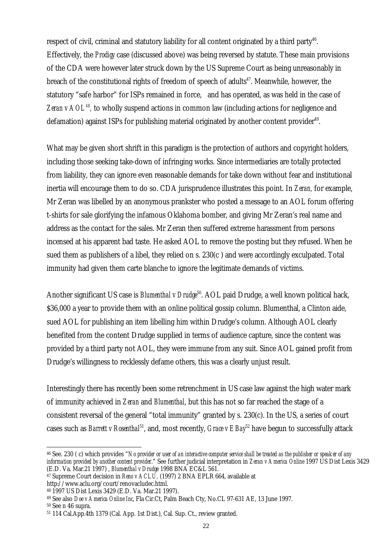respect of civil, criminal and statutory liability for all content originated by a third party<sup>46</sup>. Effectively, the *Prodigy* case (discussed above) was being reversed by statute. These main provisions of the CDA were however later struck down by the US Supreme Court as being unreasonably in breach of the constitutional rights of freedom of speech of adults<sup>47</sup>. Meanwhile, however, the statutory "safe harbor" for ISPs remained in force, and has operated, as was held in the case of Zeran v AOL<sup>48</sup>, to wholly suspend actions in common law (including actions for negligence and defamation) against ISPs for publishing material originated by another content provider<sup>49</sup>.

What may be given short shrift in this paradigm is the protection of authors and copyright holders, including those seeking take-down of infringing works. Since intermediaries are totally protected from liability, they can ignore even reasonable demands for take down without fear and institutional inertia will encourage them to do so. CDA jurisprudence illustrates this point. In *Zeran,* for example, Mr Zeran was libelled by an anonymous prankster who posted a message to an AOL forum offering t-shirts for sale glorifying the infamous Oklahoma bomber, and giving Mr Zeran's real name and address as the contact for the sales. Mr Zeran then suffered extreme harassment from persons incensed at his apparent bad taste. He asked AOL to remove the posting but they refused. When he sued them as publishers of a libel, they relied on s. 230(c ) and were accordingly exculpated. Total immunity had given them carte blanche to ignore the legitimate demands of victims.

Another significant US case is Blumenthal v Drudge<sup>50</sup>. AOL paid Drudge, a well known political hack, \$36,000 a year to provide them with an online political gossip column. Blumenthal, a Clinton aide, sued AOL for publishing an item libelling him within Drudge's column. Although AOL clearly benefited from the content Drudge supplied in terms of audience capture, since the content was provided by a third party not AOL, they were immune from any suit. Since AOL gained profit from Drudge's willingness to recklessly defame others, this was a clearly unjust result.

Interestingly there has recently been some retrenchment in US case law against the high water mark of immunity achieved in *Zeran* and *Blumenthal*, but this has not so far reached the stage of a consistent reversal of the general "total immunity" granted by s. 230(c). In the US, a series of court cases such as *Barrett v Rosenthal*51, and, most recently, *Grace v EBay*52 have begun to successfully attack

http://www.aclu.org/court/renovacludec.html.

<sup>46</sup> See. 230 ( c) which provides "*No provider or user of an interactive computer service shall be treated as the publisher or speaker of any information provided by another content provider*." See further judicial interpretation in *Zeran v America Online* 1997 US Dist Lexis 3429 (E.D. Va. Mar.21 1997) , *Blumenthal v Drudge* 1998 BNA EC&L 561.

<sup>47</sup> Supreme Court decision in *Reno v ACLU,* (1997) 2 BNA EPLR 664, available at

<sup>48 1997</sup> US Dist Lexis 3429 (E.D. Va. Mar.21 1997).

<sup>49</sup> See also *Doe v America Online Inc*, Fla Cir.Ct, Palm Beach Cty, No.CL 97-631 AE, 13 June 1997.

<sup>50</sup> See n 46 supra.

<sup>51</sup> 114 Cal.App.4th 1379 (Cal. App. 1st Dist.), Cal. Sup. Ct., review granted.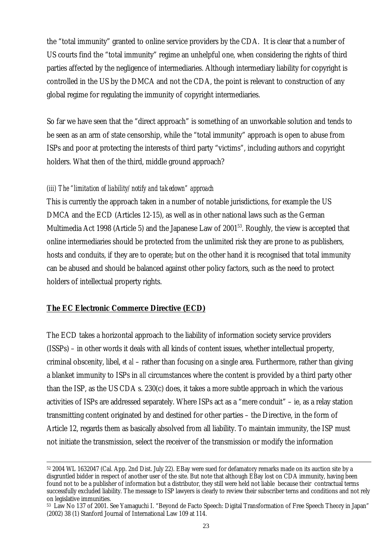the "total immunity" granted to online service providers by the CDA. It is clear that a number of US courts find the "total immunity" regime an unhelpful one, when considering the rights of third parties affected by the negligence of intermediaries. Although intermediary liability for copyright is controlled in the US by the DMCA and not the CDA, the point is relevant to construction of any global regime for regulating the immunity of copyright intermediaries.

So far we have seen that the "direct approach" is something of an unworkable solution and tends to be seen as an arm of state censorship, while the "total immunity" approach is open to abuse from ISPs and poor at protecting the interests of third party "victims", including authors and copyright holders. What then of the third, middle ground approach?

## *(iii) The "limitation of liability/notify and takedown" approach*

This is currently the approach taken in a number of notable jurisdictions, for example the US DMCA and the ECD (Articles 12-15), as well as in other national laws such as the German Multimedia Act 1998 (Article 5) and the Japanese Law of 2001<sup>53</sup>. Roughly, the view is accepted that online intermediaries should be protected from the unlimited risk they are prone to as publishers, hosts and conduits, if they are to operate; but on the other hand it is recognised that total immunity can be abused and should be balanced against other policy factors, such as the need to protect holders of intellectual property rights.

# **The EC Electronic Commerce Directive (ECD)**

1

The ECD takes a horizontal approach to the liability of information society service providers (ISSPs) – in other words it deals with all kinds of content issues, whether intellectual property, criminal obscenity, libel, *et al* – rather than focusing on a single area. Furthermore, rather than giving a blanket immunity to ISPs in *all* circumstances where the content is provided by a third party other than the ISP, as the US CDA s. 230(c) does, it takes a more subtle approach in which the various activities of ISPs are addressed separately. Where ISPs act as a "mere conduit" – ie, as a relay station transmitting content originated by and destined for other parties – the Directive, in the form of Article 12, regards them as basically absolved from all liability. To maintain immunity, the ISP must not initiate the transmission, select the receiver of the transmission or modify the information

<sup>52</sup> 2004 WL 1632047 (Cal. App. 2nd Dist. July 22). EBay were sued for defamatory remarks made on its auction site by a disgruntled bidder in respect of another user of the site. But note that although EBay lost on CDA immunity, having been found not to be a publisher of information but a distributor, they still were held not liable because their contractual terms successfully excluded liability. The message to ISP lawyers is clearly to review their subscriber terns and conditions and not rely on legislative immunities.

<sup>53</sup> Law No 137 of 2001. See Yamaguchi I. "Beyond de Facto Speech: Digital Transformation of Free Speech Theory in Japan" (2002) 38 (1) Stanford Journal of International Law 109 at 114.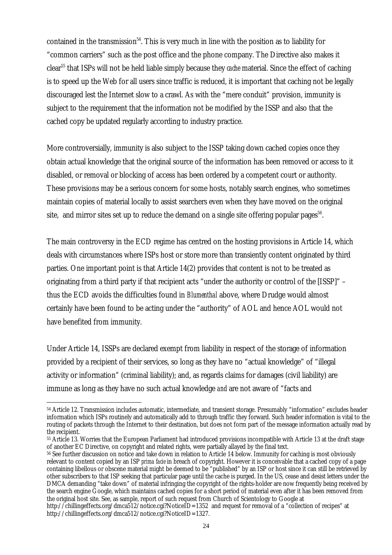contained in the transmission<sup>54</sup>. This is very much in line with the position as to liability for "common carriers" such as the post office and the phone company. The Directive also makes it clear55 that ISPs will not be held liable simply because they *cache* material. Since the effect of caching is to speed up the Web for all users since traffic is reduced, it is important that caching not be legally discouraged lest the Internet slow to a crawl. As with the "mere conduit" provision, immunity is subject to the requirement that the information not be modified by the ISSP and also that the cached copy be updated regularly according to industry practice.

More controversially, immunity is also subject to the ISSP taking down cached copies once they obtain actual knowledge that the original source of the information has been removed or access to it disabled, or removal or blocking of access has been ordered by a competent court or authority. These provisions may be a serious concern for some hosts, notably search engines, who sometimes maintain copies of material locally to assist searchers even when they have moved on the original site, and mirror sites set up to reduce the demand on a single site offering popular pages<sup>56</sup>.

The main controversy in the ECD regime has centred on the hosting provisions in Article 14, which deals with circumstances where ISPs host or store more than transiently content originated by third parties. One important point is that Article 14(2) provides that content is not to be treated as originating from a third party if that recipient acts "under the authority or control of the [ISSP]" – thus the ECD avoids the difficulties found in *Blumenthal* above, where Drudge would almost certainly have been found to be acting under the "authority" of AOL and hence AOL would not have benefited from immunity.

Under Article 14, ISSPs are declared exempt from liability in respect of the storage of information provided by a recipient of their services, so long as they have no "actual knowledge" of "illegal activity or information" (criminal liability); and, as regards claims for damages (civil liability) are immune as long as they have no such actual knowledge *and* are not aware of "facts and

<sup>1</sup> 54 Article 12. Transmission includes automatic, intermediate, and transient storage. Presumably "information" excludes header information which ISPs routinely and automatically add to through traffic they forward. Such header information is vital to the routing of packets through the Internet to their destination, but does not form part of the message information actually read by the recipient.

<sup>55</sup> Article 13. Worries that the European Parliament had introduced provisions incompatible with Article 13 at the draft stage of another EC Directive, on copyright and related rights, were partially allayed by the final text.

<sup>&</sup>lt;sup>56</sup> See further discussion on notice and take down in relation to Article 14 below. Immunity for caching is most obviously relevant to content copied by an ISP *prima facie* in breach of copyright. However it is conceivable that a cached copy of a page containing libellous or obscene material might be deemed to be "published" by an ISP or host since it can still be retrieved by other subscribers to that ISP seeking that particular page until the cache is purged. In the US, cease and desist letters under the DMCA demanding "take down" of material infringing the copyright of the rights-holder are now frequently being received by the search engine Google, which maintains cached copies for a short period of material even after it has been removed from the original host site. See, as sample, report of such request from Church of Scientology to Google at

http://chillingeffects.org/dmca512/notice.cgi?NoticeID=1352 and request for removal of a "collection of recipes" at http://chillingeffects.org/dmca512/notice.cgi?NoticeID=1327.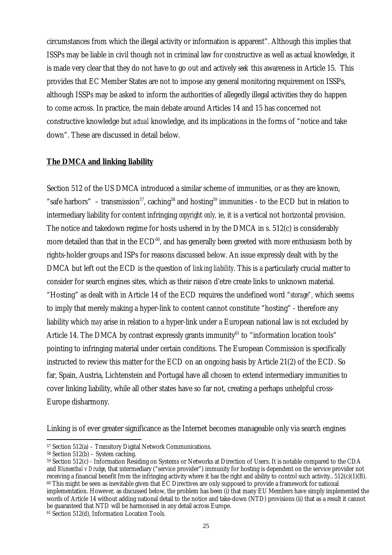circumstances from which the illegal activity or information is apparent". Although this implies that ISSPs may be liable in civil though not in criminal law for constructive as well as actual knowledge, it is made very clear that they do not have to go out and actively *seek* this awareness in Article 15. This provides that EC Member States are not to impose any general monitoring requirement on ISSPs, although ISSPs may be asked to inform the authorities of allegedly illegal activities they do happen to come across. In practice, the main debate around Articles 14 and 15 has concerned not constructive knowledge but *actual* knowledge, and its implications in the forms of "notice and take down". These are discussed in detail below.

### **The DMCA and linking liability**

Section 512 of the US DMCA introduced a similar scheme of immunities, or as they are known, "safe harbors" – transmission<sup>57</sup>, caching<sup>58</sup> and hosting<sup>59</sup> immunities - to the ECD but in relation to intermediary liability for content infringing *copyrigh*t *only,* ie, it is a vertical not horizontal provision. The notice and takedown regime for hosts ushered in by the DMCA in s. 512(c) is considerably more detailed than that in the  $ECD^{60}$ , and has generally been greeted with more enthusiasm both by rights-holder groups and ISPs for reasons discussed below. An issue expressly dealt with by the DMCA but left out the ECD is the question of *linking liability*. This is a particularly crucial matter to consider for search engines sites, which as their raison d'etre create links to unknown material. "Hosting" as dealt with in Article 14 of the ECD requires the undefined word "*storage",* which seems to imply that merely making a hyper-link to content cannot constitute "hosting" - therefore any liability which *may* arise in relation to a hyper-link under a European national law is *not* excluded by Article 14. The DMCA by contrast expressly grants immunity $^{61}$  to "information location tools" pointing to infringing material under certain conditions. The European Commission is specifically instructed to review this matter for the ECD on an ongoing basis by Article 21(2) of the ECD. So far, Spain, Austria, Lichtenstein and Portugal have all chosen to extend intermediary immunities to cover linking liability, while all other states have so far not, creating a perhaps unhelpful cross-Europe disharmony.

Linking is of ever greater significance as the Internet becomes manageable only via search engines

<sup>57</sup> Section 512(a) – Transitory Digital Network Communications.

 $58$  Section  $512(b)$  – System caching.

<sup>59</sup> Section 512(c) - Information Residing on Systems or Networks at Direction of Users. It is notable compared to the CDA and *Blumenthal v Drudge*, that intermediary ("service provider") immunity for hosting is dependent on the service provider not receiving a financial benefit from the infringing activity where it has the right and ability to control such activity.. 512(c)(1)(B). <sup>60</sup> This might be seen as inevitable given that EC Directives are only supposed to provide a framework for national implementation. However, as discussed below, the problem has been (i) that many EU Members have simply implemented the words of Article 14 without adding national detail to the notice and take-down (NTD) provisions (ii) that as a result it cannot be guaranteed that NTD will be harmonised in any detail across Europe.

<sup>61</sup> Section 512(d), Information Location Tools.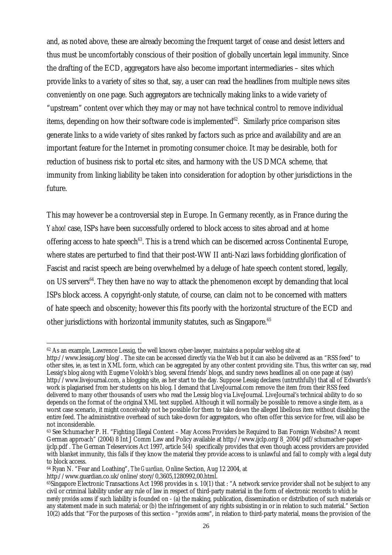and, as noted above, these are already becoming the frequent target of cease and desist letters and thus must be uncomfortably conscious of their position of globally uncertain legal immunity. Since the drafting of the ECD, aggregators have also become important intermediaries – sites which provide links to a variety of sites so that, say, a user can read the headlines from multiple news sites conveniently on one page. Such aggregators are technically making links to a wide variety of "upstream" content over which they may or may not have technical control to remove individual items, depending on how their software code is implemented $62$ . Similarly price comparison sites generate links to a wide variety of sites ranked by factors such as price and availability and are an important feature for the Internet in promoting consumer choice. It may be desirable, both for reduction of business risk to portal etc sites, and harmony with the US DMCA scheme, that immunity from linking liability be taken into consideration for adoption by other jurisdictions in the future.

This may however be a controversial step in Europe. In Germany recently, as in France during the *Yahoo!* case, ISPs have been successfully ordered to block access to sites abroad and at home offering access to hate speech $63$ . This is a trend which can be discerned across Continental Europe, where states are perturbed to find that their post-WW II anti-Nazi laws forbidding glorification of Fascist and racist speech are being overwhelmed by a deluge of hate speech content stored, legally, on US servers<sup>64</sup>. They then have no way to attack the phenomenon except by demanding that local ISPs block access. A copyright-only statute, of course, can claim not to be concerned with matters of hate speech and obscenity; however this fits poorly with the horizontal structure of the ECD and other jurisdictions with horizontal immunity statutes, such as Singapore.<sup>65</sup>

<sup>62</sup> As an example, Lawrence Lessig, the well known cyber-lawyer, maintains a popular weblog site at

http://www.lessig.org/blog/. The site can be accessed directly via the Web but it can also be delivered as an "RSS feed" to other sites, ie, as text in XML form, which can be aggregated by any other content providing site. Thus, this writer can say, read Lessig's blog along with Eugene Volokh's blog, several friends' blogs, and sundry news headlines all on one page at (say) http://www.livejournal.com, a blogging site, as her start to the day. Suppose Lessig declares (untruthfully) that all of Edwards's work is plagiarised from her students on his blog. I demand that LiveJournal.com remove the item from their RSS feed delivered to many other thousands of users who read the Lessig blog via LiveJournal. LiveJournal's technical ability to do so depends on the format of the original XML text supplied. Although it will normally be possible to remove a single item, as a worst case scenario, it might conceivably not be possible for them to take down the alleged libellous item without disabling the entire feed. The administrative overhead of such take-down for aggregators, who often offer this service for free, will also be not inconsiderable.

<sup>63</sup> See Schumacher P. H. "Fighting Illegal Content – May Access Providers be Required to Ban Foreign Websites? A recent German approach" (2004) 8 Int J Comm Law and Policy available at http://www.ijclp.org/8\_2004/pdf/schumacher-paperijclp.pdf . The German Teleservices Act 1997, article 5(4) specifically provides that even though access providers are provided with blanket immunity, this falls if they know the material they provide access to is unlawful and fail to comply with a legal duty to block access.

<sup>64</sup> Ryan N. "Fear and Loathing", *The Guardian,* Online Section, Aug 12 2004, at

http://www.guardian.co.uk/online/story/0,3605,1280992,00.html.

<sup>&</sup>lt;sup>65</sup>Singapore Electronic Transactions Act 1998 provides in s. 10(1) that : "A network service provider shall not be subject to any civil or criminal liability under any rule of law in respect of third-party material in the form of electronic records *to which he merely provides access* if such liability is founded on - (a) the making, publication, dissemination or distribution of such materials or any statement made in such material; or (b) the infringement of any rights subsisting in or in relation to such material." Section 10(2) adds that "For the purposes of this section - "*provides access*", in relation to third-party material, means the provision of the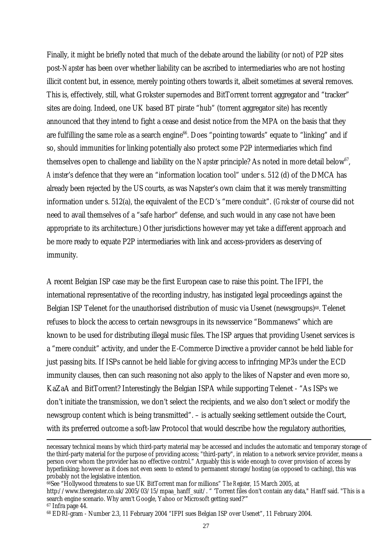Finally, it might be briefly noted that much of the debate around the liability (or not) of P2P sites post-*Napster* has been over whether liability can be ascribed to intermediaries who are not hosting illicit content but, in essence, merely pointing others towards it, albeit sometimes at several removes. This is, effectively, still, what Grokster supernodes and BitTorrent torrent aggregator and "tracker" sites are doing. Indeed, one UK based BT pirate "hub" (torrent aggregator site) has recently announced that they intend to fight a cease and desist notice from the MPA on the basis that they are fulfilling the same role as a search engine<sup>66</sup>. Does "pointing towards" equate to "linking" and if so, should immunities for linking potentially also protect some P2P intermediaries which find themselves open to challenge and liability on the Napster principle? As noted in more detail below<sup>67</sup>, *Aimster*'s defence that they were an "information location tool" under s. 512 (d) of the DMCA has already been rejected by the US courts, as was Napster's own claim that it was merely transmitting information under s. 512(a), the equivalent of the ECD's "mere conduit". (*Grokster* of course did not need to avail themselves of a "safe harbor" defense, and such would in any case not have been appropriate to its architecture.) Other jurisdictions however may yet take a different approach and be more ready to equate P2P intermediaries with link and access-providers as deserving of immunity.

A recent Belgian ISP case may be the first European case to raise this point. The IFPI, the international representative of the recording industry, has instigated legal proceedings against the Belgian ISP Telenet for the unauthorised distribution of music via Usenet (newsgroups)<sup>68</sup>. Telenet refuses to block the access to certain newsgroups in its newsservice "Bommanews" which are known to be used for distributing illegal music files. The ISP argues that providing Usenet services is a "mere conduit" activity, and under the E-Commerce Directive a provider cannot be held liable for just passing bits. If ISPs cannot be held liable for giving access to infringing MP3s under the ECD immunity clauses, then can such reasoning not also apply to the likes of Napster and even more so, KaZaA and BitTorrent? Interestingly the Belgian ISPA while supporting Telenet - "As ISPs we don't initiate the transmission, we don't select the recipients, and we also don't select or modify the newsgroup content which is being transmitted". – is actually seeking settlement outside the Court, with its preferred outcome a soft-law Protocol that would describe how the regulatory authorities,

66See "Hollywood threatens to sue UK BitTorrent man for millions" *The Register,* 15 March 2005, at

http://www.theregister.co.uk/2005/03/15/mpaa\_hanff\_suit/. " 'Torrent files don't contain any data," Hanff said. "This is a search engine scenario. Why aren't Google, Yahoo or Microsoft getting sued?'"

necessary technical means by which third-party material may be accessed and includes the automatic and temporary storage of the third-party material for the purpose of providing access; "third-party", in relation to a network service provider, means a person over whom the provider has no effective control." Arguably this is wide enough to cover provision of access by hyperlinking; however as it does not even seem to extend to permanent storage/hosting (as opposed to caching), this was probably not the legislative intention.

<sup>67</sup> Infra page 44.

<sup>68</sup> EDRI-gram - Number 2.3, 11 February 2004 "IFPI sues Belgian ISP over Usenet", 11 February 2004.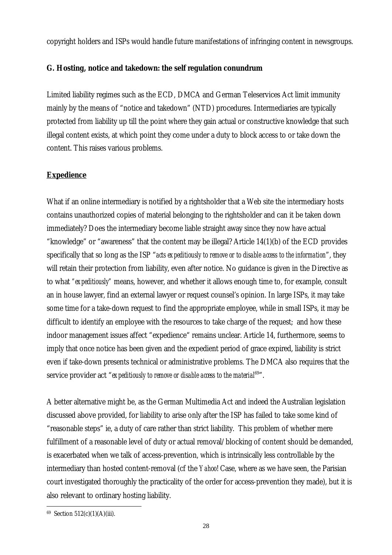copyright holders and ISPs would handle future manifestations of infringing content in newsgroups.

**G. Hosting, notice and takedown: the self regulation conundrum**

Limited liability regimes such as the ECD, DMCA and German Teleservices Act limit immunity mainly by the means of "notice and takedown" (NTD) procedures. Intermediaries are typically protected from liability up till the point where they gain actual or constructive knowledge that such illegal content exists, at which point they come under a duty to block access to or take down the content. This raises various problems.

# **Expedience**

What if an online intermediary is notified by a rightsholder that a Web site the intermediary hosts contains unauthorized copies of material belonging to the rightsholder and can it be taken down immediately? Does the intermediary become liable straight away since they now have actual "knowledge" or "awareness" that the content may be illegal? Article 14(1)(b) of the ECD provides specifically that so long as the ISP "*acts expeditiously to remove or to disable access to the information*", they will retain their protection from liability, even after notice. No guidance is given in the Directive as to what *"expeditiously"* means, however, and whether it allows enough time to, for example, consult an in house lawyer, find an external lawyer or request counsel's opinion. In large ISPs, it may take some time for a take-down request to find the appropriate employee, while in small ISPs, it may be difficult to identify an employee with the resources to take charge of the request; and how these indoor management issues affect "expedience" remains unclear. Article 14, furthermore, seems to imply that once notice has been given and the expedient period of grace expired, liability is strict even if take-down presents technical or administrative problems. The DMCA also requires that the service provider act "*expeditiously to remove or disable access to the material*69".

A better alternative might be, as the German Multimedia Act and indeed the Australian legislation discussed above provided, for liability to arise only after the ISP has failed to take some kind of "reasonable steps" ie, a duty of care rather than strict liability. This problem of whether mere fulfillment of a reasonable level of duty or actual removal/blocking of content should be demanded, is exacerbated when we talk of access-prevention, which is intrinsically less controllable by the intermediary than hosted content-removal (cf the *Yahoo*! Case, where as we have seen, the Parisian court investigated thoroughly the practicality of the order for access-prevention they made), but it is also relevant to ordinary hosting liability.

 $69$  Section  $512(c)(1)(A)(iii)$ .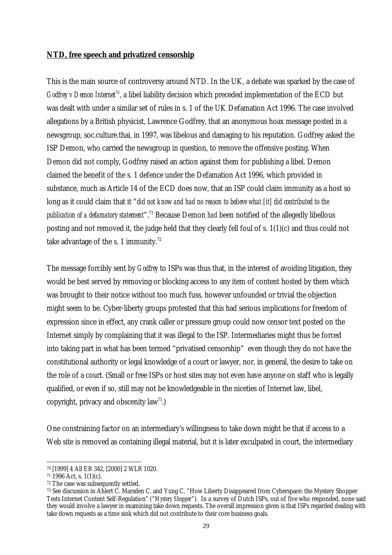### **NTD, free speech and privatized censorship**

This is the main source of controversy around NTD. In the UK, a debate was sparked by the case of Godfrey v Demon Internet<sup>70</sup>, a libel liability decision which preceded implementation of the ECD but was dealt with under a similar set of rules in s. 1 of the UK Defamation Act 1996. The case involved allegations by a British physicist, Lawrence Godfrey, that an anonymous hoax message posted in a newsgroup, soc.culture.thai, in 1997, was libelous and damaging to his reputation. Godfrey asked the ISP Demon, who carried the newsgroup in question, to remove the offensive posting. When Demon did not comply, Godfrey raised an action against them for publishing a libel. Demon claimed the benefit of the s. 1 defence under the Defamation Act 1996, which provided in substance, much as Article 14 of the ECD does now, that an ISP could claim immunity as a host so long as it could claim that it "did not know and had no reason to believe what [it] did contributed to the *publication of a defamatory statement*".71 Because Demon *had* been notified of the allegedly libellous posting and not removed it, the judge held that they clearly fell foul of s. 1(1)(c) and thus could not take advantage of the s. 1 immunity.<sup>72</sup>

The message forcibly sent by *Godfrey* to ISPs was thus that, in the interest of avoiding litigation, they would be best served by removing or blocking access to any item of content hosted by them which was brought to their notice without too much fuss, however unfounded or trivial the objection might seem to be. Cyber-liberty groups protested that this had serious implications for freedom of expression since in effect, any crank caller or pressure group could now censor text posted on the Internet simply by complaining that it was illegal to the ISP. Intermediaries might thus be forced into taking part in what has been termed "privatised censorship" even though they do not have the constitutional authority or legal knowledge of a court or lawyer, nor, in general, the desire to take on the role of a court. (Small or free ISPs or host sites may not even have anyone on staff who is legally qualified, or even if so, still may not be knowledgeable in the niceties of Internet law, libel, copyright, privacy and obscenity  $law^{73}$ .

One constraining factor on an intermediary's willingness to take down might be that if access to a Web site is removed as containing illegal material, but it is later exculpated in court, the intermediary

<sup>1</sup> <sup>70</sup> [1999] 4 All ER 342, [2000] 2 WLR 1020.

 $71$  1996 Act, s. 1(1)(c).

<sup>72</sup> The case was subsequently settled.

<sup>73</sup> See discussion in Ahlert C. Marsden C. and Yung C. "How Liberty Disappeared from Cyberspace: the Mystery Shopper Tests Internet Content Self-Regulation" ("Mystery Shopper"). In a survey of Dutch ISPs, out of five who responded, none said they would involve a lawyer in examining take down requests. The overall impression given is that ISPs regarded dealing with take down requests as a time sink which did not contribute to their core business goals.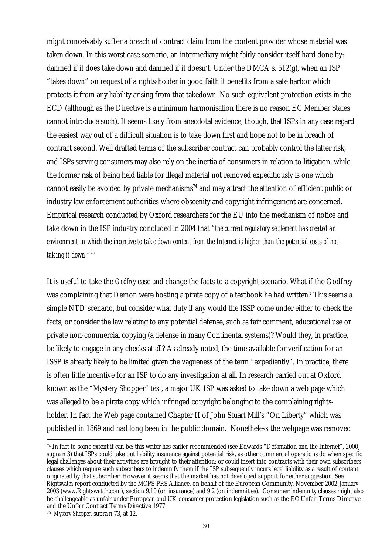might conceivably suffer a breach of contract claim from the content provider whose material was taken down. In this worst case scenario, an intermediary might fairly consider itself hard done by: damned if it does take down and damned if it doesn't. Under the DMCA s. 512(g), when an ISP "takes down" on request of a rights-holder in good faith it benefits from a safe harbor which protects it from any liability arising from that takedown. No such equivalent protection exists in the ECD (although as the Directive is a minimum harmonisation there is no reason EC Member States cannot introduce such). It seems likely from anecdotal evidence, though, that ISPs in any case regard the easiest way out of a difficult situation is to take down first and hope not to be in breach of contract second. Well drafted terms of the subscriber contract can probably control the latter risk, and ISPs serving consumers may also rely on the inertia of consumers in relation to litigation, while the former risk of being held liable for illegal material not removed expeditiously is one which cannot easily be avoided by private mechanisms<sup>74</sup> and may attract the attention of efficient public or industry law enforcement authorities where obscenity and copyright infringement are concerned. Empirical research conducted by Oxford researchers for the EU into the mechanism of notice and take down in the ISP industry concluded in 2004 that "*the current regulatory settlement has created an environment in which the incentive to take down content from the Internet is higher than the potential costs of not taking it down*."75

It is useful to take the *Godfrey* case and change the facts to a copyright scenario. What if the Godfrey was complaining that Demon were hosting a pirate copy of a textbook he had written? This seems a simple NTD scenario, but consider what duty if any would the ISSP come under either to check the facts, or consider the law relating to any potential defense, such as fair comment, educational use or private non-commercial copying (a defense in many Continental systems)? Would they, in practice, be likely to engage in any checks at all? As already noted, the time available for verification for an ISSP is already likely to be limited given the vagueness of the term "expediently". In practice, there is often little incentive for an ISP to do any investigation at all. In research carried out at Oxford known as the "Mystery Shopper" test, a major UK ISP was asked to take down a web page which was alleged to be a pirate copy which infringed copyright belonging to the complaining rightsholder. In fact the Web page contained Chapter II of John Stuart Mill's "On Liberty" which was published in 1869 and had long been in the public domain. Nonetheless the webpage was removed

<sup>74</sup> In fact to some extent it can be: this writer has earlier recommended (see Edwards "Defamation and the Internet", 2000, supra n 3) that ISPs could take out liability insurance against potential risk, as other commercial operations do when specific legal challenges about their activities are brought to their attention; or could insert into contracts with their own subscribers clauses which require such subscribers to indemnify them if the ISP subsequently incurs legal liability as a result of content originated by that subscriber. However it seems that the market has not developed support for either suggestion. See *Rightswatch* report conducted by the MCPS-PRS Alliance, on behalf of the European Community, November 2002-January 2003 (www.Rightswatch.com), section 9.10 (on insurance) and 9.2 (on indemnities). Consumer indemnity clauses might also be challengeable as unfair under European and UK consumer protection legislation such as the EC Unfair Terms Directive and the Unfair Contract Terms Directive 1977.

<sup>75</sup> *Mystery Shopper*, supra n 73, at 12.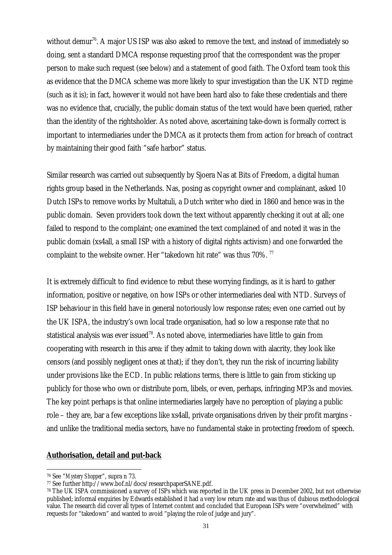without demur<sup>76</sup>. A major US ISP was also asked to remove the text, and instead of immediately so doing, sent a standard DMCA response requesting proof that the correspondent was the proper person to make such request (see below) and a statement of good faith. The Oxford team took this as evidence that the DMCA scheme was more likely to spur investigation than the UK NTD regime (such as it is); in fact, however it would not have been hard also to fake these credentials and there was no evidence that, crucially, the public domain status of the text would have been queried, rather than the identity of the rightsholder. As noted above, ascertaining take-down is formally correct is important to intermediaries under the DMCA as it protects them from action for breach of contract by maintaining their good faith "safe harbor" status.

Similar research was carried out subsequently by Sjoera Nas at Bits of Freedom, a digital human rights group based in the Netherlands. Nas, posing as copyright owner and complainant, asked 10 Dutch ISPs to remove works by Multatuli, a Dutch writer who died in 1860 and hence was in the public domain. Seven providers took down the text without apparently checking it out at all; one failed to respond to the complaint; one examined the text complained of and noted it was in the public domain (xs4all, a small ISP with a history of digital rights activism) and one forwarded the complaint to the website owner. Her "takedown hit rate" was thus 70%.<sup>77</sup>

It is extremely difficult to find evidence to rebut these worrying findings, as it is hard to gather information, positive or negative, on how ISPs or other intermediaries deal with NTD. Surveys of ISP behaviour in this field have in general notoriously low response rates; even one carried out by the UK ISPA, the industry's own local trade organisation, had so low a response rate that no statistical analysis was ever issued<sup>78</sup>. As noted above, intermediaries have little to gain from cooperating with research in this area: if they admit to taking down with alacrity, they look like censors (and possibly negligent ones at that); if they don't, they run the risk of incurring liability under provisions like the ECD. In public relations terms, there is little to gain from sticking up publicly for those who own or distribute porn, libels, or even, perhaps, infringing MP3s and movies. The key point perhaps is that online intermediaries largely have no perception of playing a public role – they are, bar a few exceptions like xs4all, private organisations driven by their profit margins and unlike the traditional media sectors, have no fundamental stake in protecting freedom of speech.

**Authorisation, detail and put-back**

<sup>1</sup> <sup>76</sup> See "*Mystery Shopper*", supra n 73.

<sup>77</sup> See further http://www.bof.nl/docs/researchpaperSANE.pdf.

<sup>78</sup> The UK ISPA commissioned a survey of ISPs which was reported in the UK press in December 2002, but not otherwise published; informal enquiries by Edwards established it had a very low return rate and was thus of dubious methodological value. The research did cover all types of Internet content and concluded that European ISPs were "overwhelmed" with requests for "takedown" and wanted to avoid "playing the role of judge and jury".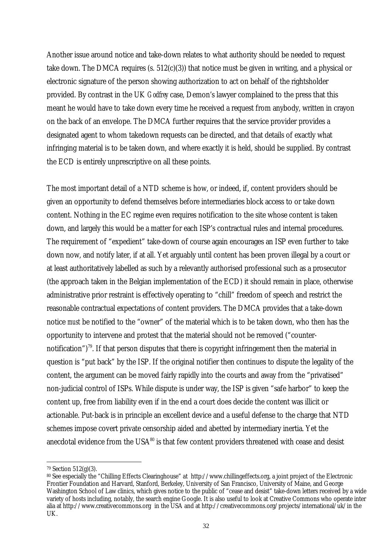Another issue around notice and take-down relates to what authority should be needed to request take down. The DMCA requires (s. 512(c)(3)) that notice must be given in writing, and a physical or electronic signature of the person showing authorization to act on behalf of the rightsholder provided. By contrast in the UK *Godfrey* case, Demon's lawyer complained to the press that this meant he would have to take down every time he received a request from anybody, written in crayon on the back of an envelope. The DMCA further requires that the service provider provides a designated agent to whom takedown requests can be directed, and that details of exactly what infringing material is to be taken down, and where exactly it is held, should be supplied. By contrast the ECD is entirely unprescriptive on all these points.

The most important detail of a NTD scheme is how, or indeed, if, content providers should be given an opportunity to defend themselves before intermediaries block access to or take down content. Nothing in the EC regime even requires notification to the site whose content is taken down, and largely this would be a matter for each ISP's contractual rules and internal procedures. The requirement of "expedient" take-down of course again encourages an ISP even further to take down now, and notify later, if at all. Yet arguably until content has been proven illegal by a court or at least authoritatively labelled as such by a relevantly authorised professional such as a prosecutor (the approach taken in the Belgian implementation of the ECD) it should remain in place, otherwise administrative prior restraint is effectively operating to "chill" freedom of speech and restrict the reasonable contractual expectations of content providers. The DMCA provides that a take-down notice *must* be notified to the "owner" of the material which is to be taken down, who then has the opportunity to intervene and protest that the material should not be removed ("counternotification")<sup>79</sup>. If that person disputes that there is copyright infringement then the material in question is "put back" by the ISP. If the original notifier then continues to dispute the legality of the content, the argument can be moved fairly rapidly into the courts and away from the "privatised" non-judicial control of ISPs. While dispute is under way, the ISP is given "safe harbor" to keep the content up, free from liability even if in the end a court does decide the content was illicit or actionable. Put-back is in principle an excellent device and a useful defense to the charge that NTD schemes impose covert private censorship aided and abetted by intermediary inertia. Yet the anecdotal evidence from the USA<sup>80</sup> is that few content providers threatened with cease and desist

<sup>79</sup> Section 512(g)(3).

<sup>80</sup> See especially the "Chilling Effects Clearinghouse" at http://www.chillingeffects.org, a joint project of the Electronic Frontier Foundation and Harvard, Stanford, Berkeley, University of San Francisco, University of Maine, and George Washington School of Law clinics, which gives notice to the public of "cease and desist" take-down letters received by a wide variety of hosts including, notably, the search engine Google. It is also useful to look at Creative Commons who operate inter alia at http://www.creativecommons.org in the USA and at http://creativecommons.org/projects/international/uk/in the UK.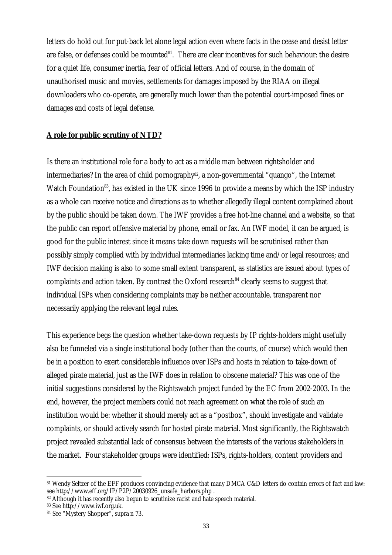letters do hold out for put-back let alone legal action even where facts in the cease and desist letter are false, or defenses could be mounted $81$ . There are clear incentives for such behaviour: the desire for a quiet life, consumer inertia, fear of official letters. And of course, in the domain of unauthorised music and movies, settlements for damages imposed by the RIAA on illegal downloaders who co-operate, are generally much lower than the potential court-imposed fines or damages and costs of legal defense.

## **A role for public scrutiny of NTD?**

Is there an institutional role for a body to act as a middle man between rightsholder and intermediaries? In the area of child pornography<sup>82</sup>, a non-governmental "quango", the Internet Watch Foundation<sup>83</sup>, has existed in the UK since 1996 to provide a means by which the ISP industry as a whole can receive notice and directions as to whether allegedly illegal content complained about by the public should be taken down. The IWF provides a free hot-line channel and a website, so that the public can report offensive material by phone, email or fax. An IWF model, it can be argued, is good for the public interest since it means take down requests will be scrutinised rather than possibly simply complied with by individual intermediaries lacking time and/or legal resources; and IWF decision making is also to some small extent transparent, as statistics are issued about types of complaints and action taken. By contrast the Oxford research<sup>84</sup> clearly seems to suggest that individual ISPs when considering complaints may be neither accountable, transparent nor necessarily applying the relevant legal rules.

This experience begs the question whether take-down requests by IP rights-holders might usefully also be funneled via a single institutional body (other than the courts, of course) which would then be in a position to exert considerable influence over ISPs and hosts in relation to take-down of alleged pirate material, just as the IWF does in relation to obscene material? This was one of the initial suggestions considered by the Rightswatch project funded by the EC from 2002-2003. In the end, however, the project members could not reach agreement on what the role of such an institution would be: whether it should merely act as a "postbox", should investigate and validate complaints, or should actively search for hosted pirate material. Most significantly, the Rightswatch project revealed substantial lack of consensus between the interests of the various stakeholders in the market. Four stakeholder groups were identified: ISPs, rights-holders, content providers and

<sup>1</sup> 81 Wendy Seltzer of the EFF produces convincing evidence that many DMCA C&D letters do contain errors of fact and law: see http://www.eff.org/IP/P2P/20030926\_unsafe\_harbors.php .

<sup>82</sup> Although it has recently also begun to scrutinize racist and hate speech material.

<sup>83</sup> See http://www.iwf.org.uk.

<sup>84</sup> See "Mystery Shopper", supra n 73.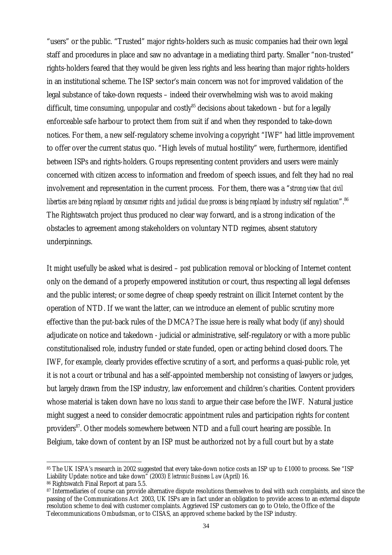"users" or the public. "Trusted" major rights-holders such as music companies had their own legal staff and procedures in place and saw no advantage in a mediating third party. Smaller "non-trusted" rights-holders feared that they would be given less rights and less hearing than major rights-holders in an institutional scheme. The ISP sector's main concern was not for improved validation of the legal substance of take-down requests – indeed their overwhelming wish was to avoid making difficult, time consuming, unpopular and costly<sup>85</sup> decisions about takedown - but for a legally enforceable safe harbour to protect them from suit if and when they responded to take-down notices. For them, a new self-regulatory scheme involving a copyright "IWF" had little improvement to offer over the current status quo. "High levels of mutual hostility" were, furthermore, identified between ISPs and rights-holders. Groups representing content providers and users were mainly concerned with citizen access to information and freedom of speech issues, and felt they had no real involvement and representation in the current process. For them, there was a "*strong view that civil liberties are being replaced by consumer rights and judicial due process is being replaced by industry self regulation*".<sup>86</sup> The Rightswatch project thus produced no clear way forward, and is a strong indication of the obstacles to agreement among stakeholders on voluntary NTD regimes, absent statutory underpinnings.

It might usefully be asked what is desired – *post* publication removal or blocking of Internet content only on the demand of a properly empowered institution or court, thus respecting all legal defenses and the public interest; or some degree of cheap speedy restraint on illicit Internet content by the operation of NTD. If we want the latter, can we introduce an element of public scrutiny more effective than the put-back rules of the DMCA? The issue here is really what body (if any) should adjudicate on notice and takedown - judicial or administrative, self-regulatory or with a more public constitutionalised role, industry funded or state funded, open or acting behind closed doors. The IWF, for example, clearly provides effective scrutiny of a sort, and performs a quasi-public role, yet it is not a court or tribunal and has a self-appointed membership not consisting of lawyers or judges, but largely drawn from the ISP industry, law enforcement and children's charities. Content providers whose material is taken down have no *locus standi* to argue their case before the IWF. Natural justice might suggest a need to consider democratic appointment rules and participation rights for content providers<sup>87</sup>. Other models somewhere between NTD and a full court hearing are possible. In Belgium, take down of content by an ISP must be authorized not by a full court but by a state

<sup>85</sup> The UK ISPA's research in 2002 suggested that every take-down notice costs an ISP up to £1000 to process. See "ISP Liability Update: notice and take down" (2003) *Electronic Business Law* (April) 16.

<sup>86</sup> Rightswatch Final Report at para 5.5.

<sup>87</sup> Intermediaries of course can provide alternative dispute resolutions themselves to deal with such complaints, and since the passing of the Communications Act 2003, UK ISPs are in fact under an obligation to provide access to an external dispute resolution scheme to deal with customer complaints. Aggrieved ISP customers can go to Otelo, the Office of the Telecommunications Ombudsman, or to CISAS, an approved scheme backed by the ISP industry.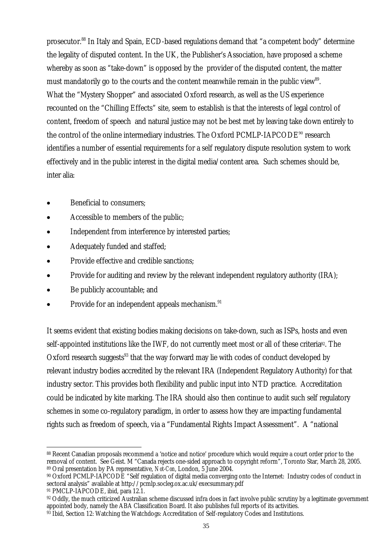prosecutor.88 In Italy and Spain, ECD-based regulations demand that "a competent body" determine the legality of disputed content. In the UK, the Publisher's Association, have proposed a scheme whereby as soon as "take-down" is opposed by the provider of the disputed content, the matter must mandatorily go to the courts and the content meanwhile remain in the public view<sup>89</sup>. What the "Mystery Shopper" and associated Oxford research, as well as the US experience recounted on the "Chilling Effects" site, seem to establish is that the interests of legal control of content, freedom of speech and natural justice may not be best met by leaving take down entirely to the control of the online intermediary industries. The Oxford PCMLP-IAPCODE<sup>90</sup> research identifies a number of essential requirements for a self regulatory dispute resolution system to work effectively and in the public interest in the digital media/content area. Such schemes should be, inter alia:

- Beneficial to consumers;
- Accessible to members of the public;
- Independent from interference by interested parties;
- Adequately funded and staffed;
- Provide effective and credible sanctions;
- Provide for auditing and review by the relevant independent regulatory authority (IRA);
- Be publicly accountable; and
- Provide for an independent appeals mechanism.<sup>91</sup>

It seems evident that existing bodies making decisions on take-down, such as ISPs, hosts and even self-appointed institutions like the IWF, do not currently meet most or all of these criteria92. The Oxford research suggests $93$  that the way forward may lie with codes of conduct developed by relevant industry bodies accredited by the relevant IRA (Independent Regulatory Authority) for that industry sector. This provides both flexibility and public input into NTD practice. Accreditation could be indicated by kite marking. The IRA should also then continue to audit such self regulatory schemes in some co-regulatory paradigm, in order to assess how they are impacting fundamental rights such as freedom of speech, via a "Fundamental Rights Impact Assessment". A "national

<sup>1</sup> 88 Recent Canadian proposals recommend a 'notice and notice' procedure which would require a court order prior to the removal of content. See Geist. M "Canada rejects one-sided approach to copyright reform", Toronto Star, March 28, 2005. <sup>89</sup> Oral presentation by PA representative, *Not-Con*, London, 5 June 2004.

<sup>90</sup> Oxford PCMLP-IAPCODE "Self regulation of digital media converging onto the Internet: Industry codes of conduct in sectoral analysis" available at http://pcmlp.socleg.ox.ac.uk/execsummary.pdf

<sup>91</sup> PMCLP-IAPCODE, ibid, para 12.1.

<sup>92</sup> Oddly, the much criticized Australian scheme discussed infra does in fact involve public scrutiny by a legitimate government appointed body, namely the ABA Classification Board. It also publishes full reports of its activities.

<sup>93</sup> Ibid, Section 12: Watching the Watchdogs: Accreditation of Self-regulatory Codes and Institutions.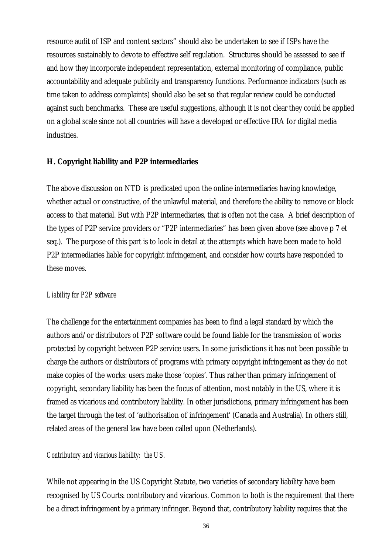resource audit of ISP and content sectors" should also be undertaken to see if ISPs have the resources sustainably to devote to effective self regulation. Structures should be assessed to see if and how they incorporate independent representation, external monitoring of compliance, public accountability and adequate publicity and transparency functions. Performance indicators (such as time taken to address complaints) should also be set so that regular review could be conducted against such benchmarks. These are useful suggestions, although it is not clear they could be applied on a global scale since not all countries will have a developed or effective IRA for digital media industries.

#### **H. Copyright liability and P2P intermediaries**

The above discussion on NTD is predicated upon the online intermediaries having knowledge, whether actual or constructive, of the unlawful material, and therefore the ability to remove or block access to that material. But with P2P intermediaries, that is often not the case. A brief description of the types of P2P service providers or "P2P intermediaries" has been given above (see above p 7 et seq.). The purpose of this part is to look in detail at the attempts which have been made to hold P2P intermediaries liable for copyright infringement, and consider how courts have responded to these moves.

#### *Liability for P2P software*

The challenge for the entertainment companies has been to find a legal standard by which the authors and/or distributors of P2P software could be found liable for the transmission of works protected by copyright between P2P service users. In some jurisdictions it has not been possible to charge the authors or distributors of programs with primary copyright infringement as they do not make copies of the works: users make those 'copies'. Thus rather than primary infringement of copyright, secondary liability has been the focus of attention, most notably in the US, where it is framed as vicarious and contributory liability. In other jurisdictions, primary infringement has been the target through the test of 'authorisation of infringement' (Canada and Australia). In others still, related areas of the general law have been called upon (Netherlands).

#### *Contributory and vicarious liability: the US.*

While not appearing in the US Copyright Statute, two varieties of secondary liability have been recognised by US Courts: contributory and vicarious. Common to both is the requirement that there be a direct infringement by a primary infringer. Beyond that, contributory liability requires that the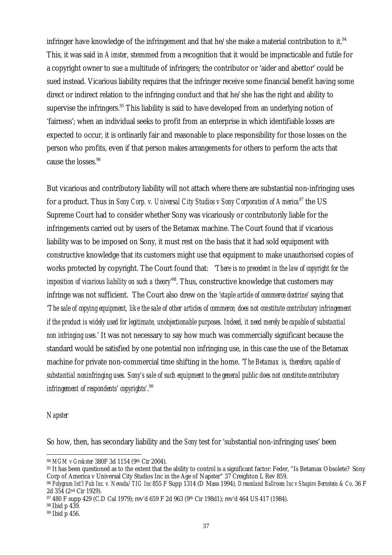infringer have knowledge of the infringement and that he/she make a material contribution to it.<sup>94</sup> This, it was said in *Aimster*, stemmed from a recognition that it would be impracticable and futile for a copyright owner to sue a multitude of infringers; the contributor or 'aider and abettor' could be sued instead. Vicarious liability requires that the infringer receive some financial benefit having some direct or indirect relation to the infringing conduct and that he/she has the right and ability to supervise the infringers.<sup>95</sup> This liability is said to have developed from an underlying notion of 'fairness'; when an individual seeks to profit from an enterprise in which identifiable losses are expected to occur, it is ordinarily fair and reasonable to place responsibility for those losses on the person who profits, even if that person makes arrangements for others to perform the acts that cause the losses.<sup>96</sup>

But vicarious and contributory liability will not attach where there are substantial non-infringing uses for a product. Thus in *Sony Corp. v. Universal City Studios v Sony Corporation of America*97 the US Supreme Court had to consider whether Sony was vicariously or contributorily liable for the infringements carried out by users of the Betamax machine. The Court found that if vicarious liability was to be imposed on Sony, it must rest on the basis that it had sold equipment with constructive knowledge that its customers might use that equipment to make unauthorised copies of works protected by copyright. The Court found that: '*There is no precedent in the law of copyright for the imposition of vicarious liability on such a theory*' 98. Thus, constructive knowledge that customers may infringe was not sufficient. The Court also drew on the '*staple article of commerce doctrine'* saying that '*The sale of copying equipment, like the sale of other articles of commerce, does not constitute contributory infringement if the product is widely used for legitimate, unobjectionable purposes. Indeed, it need merely be capable of substantial non infringing uses.*' It was not necessary to say how much was commercially significant because the standard would be satisfied by one potential non infringing use, in this case the use of the Betamax machine for private non-commercial time shifting in the home. '*The Betamax is, therefore, capable of substantial noninfringing uses. Sony's sale of such equipment to the general public does not constitute contributory infringement of respondents' copyrights'*. 99

#### *Napster*

So how, then, has secondary liability and the *Sony* test for 'substantial non-infringing uses' been

<sup>1</sup> <sup>94</sup> *MGM v Grokster* 380F 3d 1154 (9th Cir 2004).

<sup>95</sup> It has been questioned as to the extent that the ability to control is a significant factor: Feder, "Is Betamax Obsolete? Sony Corp of America v Universal City Studios Inc in the Age of Napster" 37 Creighton L Rev 859.

<sup>96</sup> *Polygram Int'l Pub Inc. v. Nevada/TIG Inc* 855 F Supp 1314 (D Mass 1994). *Dreamland Ballroom Inc v Shapiro Bernstein &Co*. 36 F 2d 354 (2nd Cir 1929).

<sup>97 480</sup> F supp 429 (C.D Cal 1979); rev'd 659 F 2d 963 (9th Cir 198d1); rev'd 464 US 417 (1984).

<sup>98</sup> Ibid p 439.

<sup>99</sup> Ibid p 456.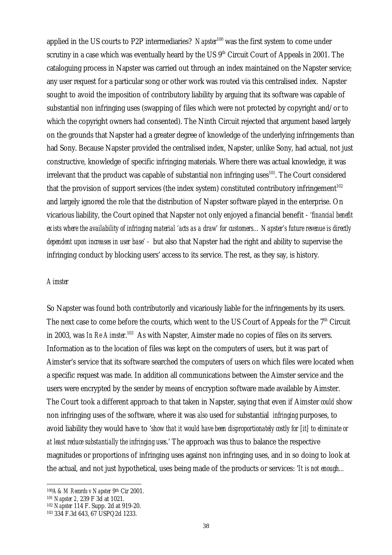applied in the US courts to P2P intermediaries? *Napster*100 was the first system to come under scrutiny in a case which was eventually heard by the US  $9<sup>th</sup>$  Circuit Court of Appeals in 2001. The cataloguing process in Napster was carried out through an index maintained on the Napster service; any user request for a particular song or other work was routed via this centralised index. Napster sought to avoid the imposition of contributory liability by arguing that its software was capable of substantial non infringing uses (swapping of files which were not protected by copyright and/or to which the copyright owners had consented). The Ninth Circuit rejected that argument based largely on the grounds that Napster had a greater degree of knowledge of the underlying infringements than had Sony. Because Napster provided the centralised index, Napster, unlike Sony, had actual, not just constructive, knowledge of specific infringing materials. Where there was actual knowledge, it was irrelevant that the product was capable of substantial non infringing uses $101$ . The Court considered that the provision of support services (the index system) constituted contributory infringement $102$ and largely ignored the role that the distribution of Napster software played in the enterprise. On vicarious liability, the Court opined that Napster not only enjoyed a financial benefit - *'financial benefit exists where the availability of infringing material 'acts as a draw' for customers…Napster's future revenue is directly dependent upon increases in user base' -* but also that Napster had the right and ability to supervise the infringing conduct by blocking users' access to its service. The rest, as they say, is history.

#### *Aimster*

So Napster was found both contributorily and vicariously liable for the infringements by its users. The next case to come before the courts, which went to the US Court of Appeals for the  $7<sup>th</sup>$  Circuit in 2003, was In Re Aimster.<sup>103</sup> As with Napster, Aimster made no copies of files on its servers. Information as to the location of files was kept on the computers of users, but it was part of Aimster's service that its software searched the computers of users on which files were located when a specific request was made. In addition all communications between the Aimster service and the users were encrypted by the sender by means of encryption software made available by Aimster. The Court took a different approach to that taken in Napster, saying that even if Aimster *could* show non infringing uses of the software, where it was *also* used for substantial *infringing* purposes, to avoid liability they would have to '*show that it would have been disproportionately costly for [it] to eliminate or at least reduce substantially the infringing uses*.' The approach was thus to balance the respective magnitudes or proportions of infringing uses against non infringing uses, and in so doing to look at the actual, and not just hypothetical, uses being made of the products or services: '*It is not enough…* 

<sup>100</sup>*A&M Records v Napster* 9th Cir 2001.

<sup>101</sup> *Napster 2,* 239 F 3d at 1021.

<sup>102</sup> *Napster* 114 F. Supp. 2d at 919-20.

<sup>103 334</sup> F.3d 643, 67 USPQ2d 1233.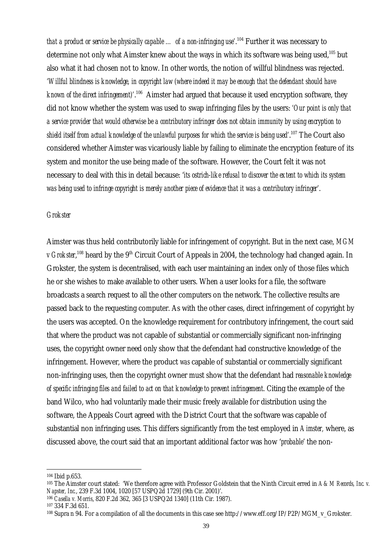*that a product or service be physically capable … of a non-infringing use'*. 104 Further it was necessary to determine not only what Aimster knew about the ways in which its software was being used.<sup>105</sup> but also what it had chosen not to know. In other words, the notion of willful blindness was rejected. *'Willful blindness is knowledge, in copyright law (where indeed it may be enough that the defendant should have known of the direct infringement)'*. 106 Aimster had argued that because it used encryption software, they did not know whether the system was used to swap infringing files by the users: *'Our point is only that a service provider that would otherwise be a contributory infringer does not obtain immunity by using encryption to shield itself from actual knowledge of the unlawful purposes for which the service is being used'*. 107 The Court also considered whether Aimster was vicariously liable by failing to eliminate the encryption feature of its system and monitor the use being made of the software. However, the Court felt it was not necessary to deal with this in detail because: '*its ostrich-like refusal to discover the extent to which its system was being used to infringe copyright is merely another piece of evidence that it was a contributory infringer'*.

### *Grokster*

Aimster was thus held contributorily liable for infringement of copyright. But in the next case, *MGM*  v Grokster,<sup>108</sup> heard by the 9<sup>th</sup> Circuit Court of Appeals in 2004, the technology had changed again. In Grokster, the system is decentralised, with each user maintaining an index only of those files which he or she wishes to make available to other users. When a user looks for a file, the software broadcasts a search request to all the other computers on the network. The collective results are passed back to the requesting computer. As with the other cases, direct infringement of copyright by the users was accepted. On the knowledge requirement for contributory infringement, the court said that where the product was not capable of substantial or commercially significant non-infringing uses, the copyright owner need only show that the defendant had constructive knowledge of the infringement. However, where the product *was* capable of substantial or commercially significant non-infringing uses, then the copyright owner must show that the defendant had *reasonable knowledge of specific infringing files and failed to act on that knowledge to prevent infringement*. Citing the example of the band Wilco, who had voluntarily made their music freely available for distribution using the software, the Appeals Court agreed with the District Court that the software was capable of substantial non infringing uses. This differs significantly from the test employed in *Aimster,* where, as discussed above, the court said that an important additional factor was how '*probable*' the non-

<sup>104</sup> Ibid p.653.

<sup>105</sup> The Aimster court stated: 'We therefore agree with Professor Goldstein that the Ninth Circuit erred in *A&M Records, Inc. v. Napster, Inc.*, 239 F.3d 1004, 1020 [57 USPQ2d 1729] (9th Cir. 2001)'.

<sup>106</sup> *Casella v. Morris*, 820 F.2d 362, 365 [3 USPQ2d 1340] (11th Cir. 1987).

<sup>107</sup> 334 F.3d 651.

<sup>108</sup> Supra n 94. For a compilation of all the documents in this case see http://www.eff.org/IP/P2P/MGM\_v\_Grokster.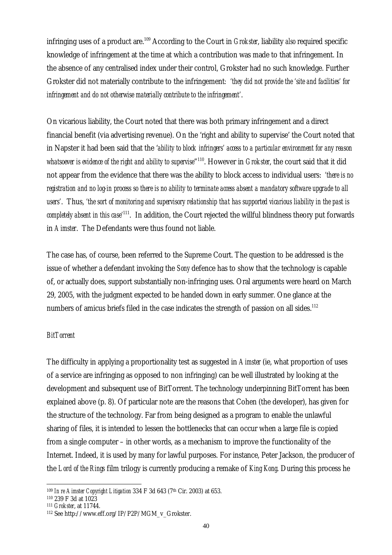infringing uses of a product are.109 According to the Court in *Grokster*, liability *also* required specific knowledge of infringement at the time at which a contribution was made to that infringement. In the absence of any centralised index under their control, Grokster had no such knowledge. Further Grokster did not materially contribute to the infringement*: 'they did not provide the 'site and facilities' for infringement and do not otherwise materially contribute to the infringement'*.

On vicarious liability, the Court noted that there was both primary infringement and a direct financial benefit (via advertising revenue). On the 'right and ability to supervise' the Court noted that in Napster it had been said that the '*ability to block infringers' access to a particular environment for any reason whatsoever is evidence of the right and ability to supervise*"110. However in *Grokster*, the court said that it did not appear from the evidence that there was the ability to block access to individual users: *'there is no registration and no log-in process so there is no ability to terminate access absent a mandatory software upgrade to all users'*. Thus, *'the sort of monitoring and supervisory relationship that has supported vicarious liability in the past is completely absent in this case'*111. In addition, the Court rejected the willful blindness theory put forwards in *Aimster*. The Defendants were thus found not liable.

The case has, of course, been referred to the Supreme Court. The question to be addressed is the issue of whether a defendant invoking the *Sony* defence has to show that the technology is capable of, or actually does, support substantially non-infringing uses. Oral arguments were heard on March 29, 2005, with the judgment expected to be handed down in early summer. One glance at the numbers of amicus briefs filed in the case indicates the strength of passion on all sides.<sup>112</sup>

## *BitTorrent*

The difficulty in applying a proportionality test as suggested in *Aimster* (ie, what proportion of uses of a service are infringing as opposed to non infringing) can be well illustrated by looking at the development and subsequent use of BitTorrent. The technology underpinning BitTorrent has been explained above (p. 8). Of particular note are the reasons that Cohen (the developer), has given for the structure of the technology. Far from being designed as a program to enable the unlawful sharing of files, it is intended to lessen the bottlenecks that can occur when a large file is copied from a single computer – in other words, as a mechanism to improve the functionality of the Internet. Indeed, it is used by many for lawful purposes. For instance, Peter Jackson, the producer of the *Lord of the Rings* film trilogy is currently producing a remake of *King Kong*. During this process he

<sup>&</sup>lt;sup>109</sup> In re Aimster Copyright Litigation 334 F 3d 643 (7<sup>th</sup> Cir. 2003) at 653.

<sup>110 239</sup> F 3d at 1023

<sup>111</sup> *Grokster*, at 11744.

<sup>112</sup> See http://www.eff.org/IP/P2P/MGM\_v\_Grokster.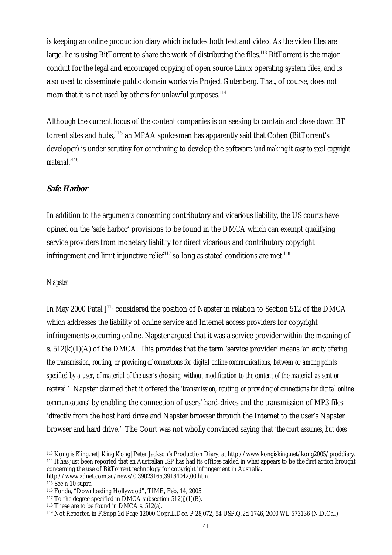is keeping an online production diary which includes both text and video. As the video files are large, he is using BitTorrent to share the work of distributing the files.<sup>113</sup> BitTorrent is the major conduit for the legal and encouraged copying of open source Linux operating system files, and is also used to disseminate public domain works via Project Gutenberg. That, of course, does not mean that it is not used by others for unlawful purposes.<sup>114</sup>

Although the current focus of the content companies is on seeking to contain and close down BT torrent sites and hubs, $115$  an MPAA spokesman has apparently said that Cohen (BitTorrent's developer) is under scrutiny for continuing to develop the software '*and making it easy to steal copyright material*.'116

## **Safe Harbor**

In addition to the arguments concerning contributory and vicarious liability, the US courts have opined on the 'safe harbor' provisions to be found in the DMCA which can exempt qualifying service providers from monetary liability for direct vicarious and contributory copyright infringement and limit injunctive relief<sup>117</sup> so long as stated conditions are met.<sup>118</sup>

## *Napster*

In May 2000 Patel J<sup>119</sup> considered the position of Napster in relation to Section 512 of the DMCA which addresses the liability of online service and Internet access providers for copyright infringements occurring online. Napster argued that it was a service provider within the meaning of s. 512(k)(1)(A) of the DMCA. This provides that the term 'service provider' means *'an entity offering the transmission, routing, or providing of connections for digital online communications, between or among points specified by a user, of material of the user's choosing, without modification to the content of the material as sent or received*.' Napster claimed that it offered the *'transmission, routing, or providing of connections for digital online communications*' by enabling the connection of users' hard-drives and the transmission of MP3 files 'directly from the host hard drive and Napster browser through the Internet to the user's Napster browser and hard drive.' The Court was not wholly convinced saying that *'the court assumes, but does* 

<sup>113</sup> Kong is King.net|King Kong|Peter Jackson's Production Diary, at http://www.kongisking.net/kong2005/proddiary. 114 It has just been reported that an Australian ISP has had its offices raided in what appears to be the first action brought concerning the use of BitTorrent technology for copyright infringement in Australia.

http://www.zdnet.com.au/news/0,39023165,39184042,00.htm.

<sup>115</sup> See n 10 supra.

<sup>116</sup> Fonda, "Downloading Hollywood", TIME, Feb. 14, 2005.

<sup>&</sup>lt;sup>117</sup> To the degree specified in DMCA subsection  $512(j)(1)(B)$ .

<sup>118</sup> These are to be found in DMCA s. 512(a).

<sup>119</sup> Not Reported in F.Supp.2d Page 12000 Copr.L.Dec. P 28,072, 54 USP.Q.2d 1746, 2000 WL 573136 (N.D.Cal.)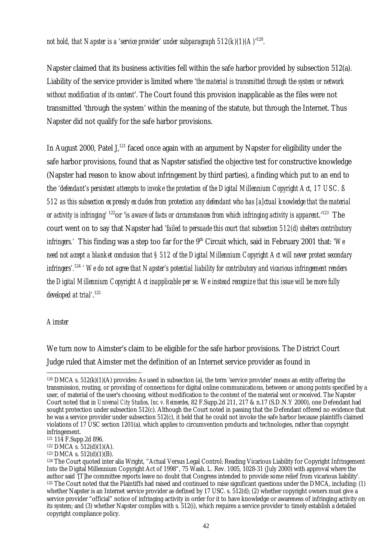*not hold, that Napster is a 'service provider' under subparagraph 512(k)(1)(A)*' 120.

Napster claimed that its business activities fell within the safe harbor provided by subsection 512(a). Liability of the service provider is limited where *'the material is transmitted through the system or network without modification of its content*'. The Court found this provision inapplicable as the files were not transmitted 'through the system' within the meaning of the statute, but through the Internet. Thus Napster did not qualify for the safe harbor provisions.

In August 2000, Patel J.<sup>121</sup> faced once again with an argument by Napster for eligibility under the safe harbor provisions, found that as Napster satisfied the objective test for constructive knowledge (Napster had reason to know about infringement by third parties), a finding which put to an end to the *'defendant's persistent attempts to invoke the protection of the Digital Millennium Copyright Act, 17 USC. ß 512 as this subsection expressly excludes from protection any defendant who has [a]ctual knowledge that the material or activity is infringing'* 122or '*is aware of facts or circumstances from which infringing activity is apparent*.'123 The court went on to say that Napster had *'failed to persuade this court that subsection 512(d) shelters contributory*  infringers.' This finding was a step too far for the 9<sup>th</sup> Circuit which, said in February 2001 that: 'We *need not accept a blanket conclusion that § 512 of the Digital Millennium Copyright Act will never protect secondary infringers'.*<sup>124</sup> *' We do not agree that Napster's potential liability for contributory and vicarious infringement renders the Digital Millennium Copyright Act inapplicable per se. We instead recognize that this issue will be more fully developed at trial'*. 125

#### *Aimster*

1

We turn now to Aimster's claim to be eligible for the safe harbor provisions. The District Court Judge ruled that Aimster met the definition of an Internet service provider as found in

 $120$  DMCA s.  $512(k)(1)(A)$  provides: As used in subsection (a), the term 'service provider' means an entity offering the transmission, routing, or providing of connections for digital online communications, between or among points specified by a user, of material of the user's choosing, without modification to the content of the material sent or received. The Napster Court noted that in *Universal City Studios, Inc. v. Reimerdes*, 82 F.Supp.2d 211, 217 & n.17 (S.D.N.Y 2000), one Defendant had sought protection under subsection 512(c). Although the Court noted in passing that the Defendant offered no evidence that he was a service provider under subsection 512(c), it held that he could not invoke the safe harbor because plaintiffs claimed violations of 17 USC section 1201(a), which applies to circumvention products and technologies, rather than copyright infringement.

<sup>121 114</sup> F.Supp.2d 896.

 $122$  DMCA s.  $512(d)(1)(A)$ .

 $123$  DMCA s.  $512(d)(1)(B)$ .

<sup>124</sup> The Court quoted inter alia Wright, "Actual Versus Legal Control: Reading Vicarious Liability for Copyright Infringement Into the Digital Millennium Copyright Act of 1998", 75 Wash. L. Rev. 1005, 1028-31 (July 2000) with approval where the author said '[T]he committee reports leave no doubt that Congress intended to provide some relief from vicarious liability'. 125 The Court noted that the Plaintiffs had raised and continued to raise significant questions under the DMCA, including: (1) whether Napster is an Internet service provider as defined by 17 USC. s. 512(d); (2) whether copyright owners must give a service provider "official" notice of infringing activity in order for it to have knowledge or awareness of infringing activity on its system; and (3) whether Napster complies with s. 512(i), which requires a service provider to timely establish a detailed copyright compliance policy.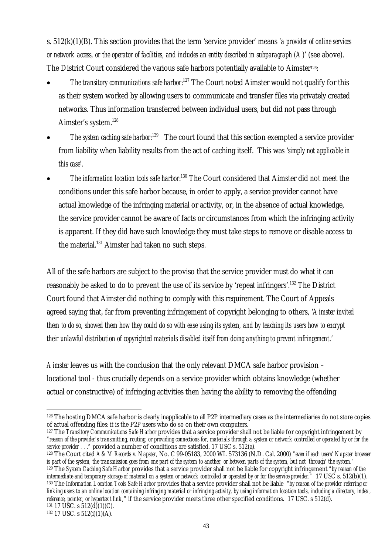s. 512(k)(1)(B). This section provides that the term 'service provider' means *'a provider of online services or network access, or the operator of facilities, and includes an entity described in subparagraph (A*)' (see above). The District Court considered the various safe harbors potentially available to Aimster<sup>126</sup>:

- The transitory communications safe harbor:<sup>127</sup> The Court noted Aimster would not qualify for this as their system worked by allowing users to communicate and transfer files via privately created networks. Thus information transferred between individual users, but did not pass through Aimster's system.<sup>128</sup>
- The system caching safe harbor:<sup>129</sup> The court found that this section exempted a service provider from liability when liability results from the act of caching itself. This was '*simply not applicable in this case'.*
- The information location tools safe harbor:<sup>130</sup> The Court considered that Aimster did not meet the conditions under this safe harbor because, in order to apply, a service provider cannot have actual knowledge of the infringing material or activity, or, in the absence of actual knowledge, the service provider cannot be aware of facts or circumstances from which the infringing activity is apparent. If they did have such knowledge they must take steps to remove or disable access to the material.<sup>131</sup> Aimster had taken no such steps.

All of the safe harbors are subject to the proviso that the service provider must do what it can reasonably be asked to do to prevent the use of its service by 'repeat infringers'.132 The District Court found that Aimster did nothing to comply with this requirement. The Court of Appeals agreed saying that, far from preventing infringement of copyright belonging to others, '*Aimster invited them to do so, showed them how they could do so with ease using its system, and by teaching its users how to encrypt their unlawful distribution of copyrighted materials disabled itself from doing anything to prevent infringement*.'

*Aimster* leaves us with the conclusion that the only relevant DMCA safe harbor provision – locational tool - thus crucially depends on a service provider which obtains knowledge (whether actual or constructive) of infringing activities then having the ability to removing the offending

<sup>126</sup> The hosting DMCA safe harbor is clearly inapplicable to all P2P intermediary cases as the intermediaries do not store copies of actual offending files: it is the P2P users who do so on their own computers.

<sup>127</sup> The *Transitory Communications Safe Harbor* provides that a service provider shall not be liable for copyright infringement by *"reason of the provider's transmitting, routing, or providing connections for, materials through a system or network controlled or operated by or for the service provider . . ."* provided a number of conditions are satisfied. 17 USC s. 512(a).

<sup>128</sup> The Court cited *A&M Records v. Napster,* No. C 99-05183, 2000 WL 573136 (N.D. Cal. 2000) *"even if each users' Napster browser is part of the system, the transmission goes from one part of the system to another, or between parts of the system, but not 'through' the system."* 129 The *System Caching Safe Harbor* provides that a service provider shall not be liable for copyright infringement *"by reason of the intermediate and temporary storage of material on a system or network controlled or operated by or for the service provider."* 17 USC s. 512(b)(1). 130 The *Information Location Tools Safe Harbor* provides that a service provider shall not be liable *"by reason of the provider referring or linking users to an online location containing infringing material or infringing activity, by using information location tools, including a directory, index, reference, pointer, or hypertext link,*" if the service provider meets three other specified conditions. 17 USC. s 512(d).  $131$  17 USC. s  $512(d)(1)(C)$ .

<sup>132 17</sup> USC. s 512(i)(1)(A).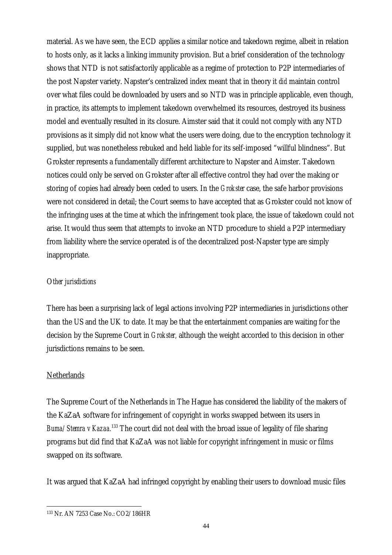material. As we have seen, the ECD applies a similar notice and takedown regime, albeit in relation to hosts only, as it lacks a linking immunity provision. But a brief consideration of the technology shows that NTD is not satisfactorily applicable as a regime of protection to P2P intermediaries of the post Napster variety. Napster's centralized index meant that in theory it *did* maintain control over what files could be downloaded by users and so NTD was in principle applicable, even though, in practice, its attempts to implement takedown overwhelmed its resources, destroyed its business model and eventually resulted in its closure. Aimster said that it could not comply with any NTD provisions as it simply did not know what the users were doing, due to the encryption technology it supplied, but was nonetheless rebuked and held liable for its self-imposed "willful blindness". But Grokster represents a fundamentally different architecture to Napster and Aimster. Takedown notices could only be served on Grokster after all effective control they had over the making or storing of copies had already been ceded to users. In the *Grokster* case, the safe harbor provisions were not considered in detail; the Court seems to have accepted that as Grokster could not know of the infringing uses at the time at which the infringement took place, the issue of takedown could not arise. It would thus seem that attempts to invoke an NTD procedure to shield a P2P intermediary from liability where the service operated is of the decentralized post-Napster type are simply inappropriate.

## O*ther jurisdictions*

There has been a surprising lack of legal actions involving P2P intermediaries in jurisdictions other than the US and the UK to date. It may be that the entertainment companies are waiting for the decision by the Supreme Court in *Grokster,* although the weight accorded to this decision in other jurisdictions remains to be seen.

## **Netherlands**

The Supreme Court of the Netherlands in The Hague has considered the liability of the makers of the KaZaA software for infringement of copyright in works swapped between its users in *Buma/Stemra v Kazaa.*133 The court did not deal with the broad issue of legality of file sharing programs but did find that KaZaA was not liable for copyright infringement in music or films swapped on its software.

It was argued that KaZaA had infringed copyright by enabling their users to download music files

<sup>1</sup> 133 Nr. AN 7253 Case No.: CO2/186HR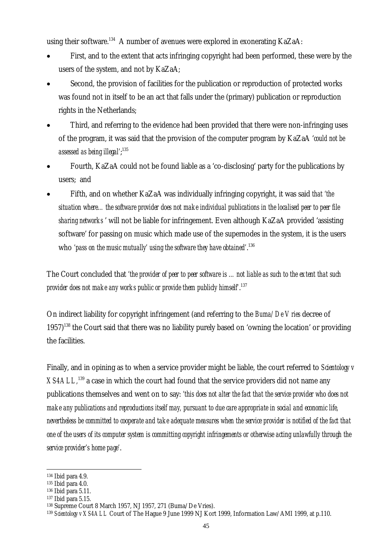using their software.<sup>134</sup> A number of avenues were explored in exonerating KaZaA:

- First, and to the extent that acts infringing copyright had been performed, these were by the users of the system, and not by KaZaA;
- Second, the provision of facilities for the publication or reproduction of protected works was found not in itself to be an act that falls under the (primary) publication or reproduction rights in the Netherlands;
- Third, and referring to the evidence had been provided that there were non-infringing uses of the program, it was said that the provision of the computer program by KaZaA '*could not be assessed as being illegal'*; 135
- Fourth, KaZaA could not be found liable as a 'co-disclosing' party for the publications by users; and
- Fifth, and on whether KaZaA was individually infringing copyright, it was said *that 'the situation where…the software provider does not make individual publications in the localised peer to peer file sharing networks* ' will not be liable for infringement. Even although KaZaA provided 'assisting software' for passing on music which made use of the supernodes in the system, it is the users who *'pass on the music mutually' using the software they have obtained'*. 136

The Court concluded that *'the provider of peer to peer software is …not liable as such to the extent that such provider does not make any works public or provide them publicly himself'*. 137

On indirect liability for copyright infringement (and referring to the *Buma/De Vries* decree of 1957)138 the Court said that there was no liability purely based on 'owning the location' or providing the facilities.

Finally, and in opining as to when a service provider might be liable, the court referred to *Scientology v XS4ALL,*139 a case in which the court had found that the service providers did not name any publications themselves and went on to say: *'this does not alter the fact that the service provider who does not make any publications and reproductions itself may, pursuant to due care appropriate in social and economic life, nevertheless be committed to cooperate and take adequate measures when the service provider is notified of the fact that one of the users of its computer system is committing copyright infringements or otherwise acting unlawfully through the service provider's home page'*.

<sup>134</sup> Ibid para 4.9.

<sup>135</sup> Ibid para 4.0.

<sup>136</sup> Ibid para 5.11.

<sup>137</sup> Ibid para 5.15.

<sup>138</sup> Supreme Court 8 March 1957, NJ 1957, 271 (Buma/De Vries).

<sup>139</sup> *Scientology v XS4ALL* Court of The Hague 9 June 1999 NJ Kort 1999, Information Law/AMI 1999, at p.110.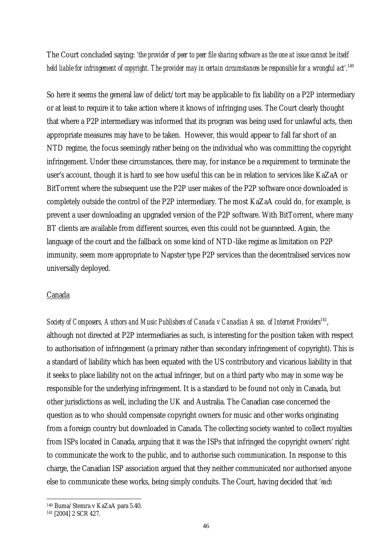The Court concluded saying: *'the provider of peer to peer file sharing software as the one at issue cannot be itself held liable for infringement of copyright. The provider may in certain circumstances be responsible for a wrongful act'*. 140

So here it seems the general law of delict/tort may be applicable to fix liability on a P2P intermediary or at least to require it to take action where it knows of infringing uses. The Court clearly thought that where a P2P intermediary was informed that its program was being used for unlawful acts, then appropriate measures may have to be taken. However, this would appear to fall far short of an NTD regime, the focus seemingly rather being on the individual who was committing the copyright infringement. Under these circumstances, there may, for instance be a requirement to terminate the user's account, though it is hard to see how useful this can be in relation to services like KaZaA or BitTorrent where the subsequent use the P2P user makes of the P2P software once downloaded is completely outside the control of the P2P intermediary. The most KaZaA could do, for example, is prevent a user downloading an upgraded version of the P2P software. With BitTorrent, where many BT clients are available from different sources, even this could not be guaranteed. Again, the language of the court and the fallback on some kind of NTD-like regime as limitation on P2P immunity, seem more appropriate to Napster type P2P services than the decentralised services now universally deployed.

### Canada

Society of Composers, Authors and Music Publishers of Canada v Canadian Assn. of Internet Providers<sup>141</sup>, although not directed at P2P intermediaries as such, is interesting for the position taken with respect to authorisation of infringement (a primary rather than secondary infringement of copyright). This is a standard of liability which has been equated with the US contributory and vicarious liability in that it seeks to place liability not on the actual infringer, but on a third party who may in some way be responsible for the underlying infringement. It is a standard to be found not only in Canada, but other jurisdictions as well, including the UK and Australia. The Canadian case concerned the question as to who should compensate copyright owners for music and other works originating from a foreign country but downloaded in Canada. The collecting society wanted to collect royalties from ISPs located in Canada, arguing that it was the ISPs that infringed the copyright owners' right to communicate the work to the public, and to authorise such communication. In response to this charge, the Canadian ISP association argued that they neither communicated nor authorised anyone else to communicate these works, being simply conduits. The Court, having decided that *'each* 

<sup>140</sup> Buma/Stemra v KaZaA para 5.40.

<sup>141 [2004] 2</sup> SCR 427.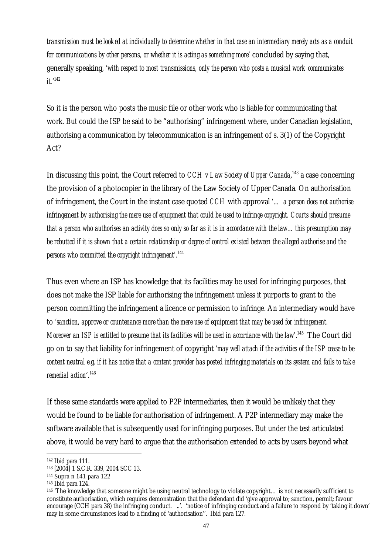*transmission must be looked at individually to determine whether in that case an intermediary merely acts as a conduit for communications by other persons, or whether it is acting as something more'* concluded by saying that, generally speaking, *'with respect to most transmissions, only the person who posts a musical work communicates it.*' 142

So it is the person who posts the music file or other work who is liable for communicating that work. But could the ISP be said to be "authorising" infringement where, under Canadian legislation, authorising a communication by telecommunication is an infringement of s. 3(1) of the Copyright Act?

In discussing this point, the Court referred to CCH v Law Society of Upper Canada,<sup>143</sup> a case concerning the provision of a photocopier in the library of the Law Society of Upper Canada. On authorisation of infringement, the Court in the instant case quoted *CCH* with approval *'… a person does not authorise infringement by authorising the mere use of equipment that could be used to infringe copyright. Courts should presume that a person who authorises an activity does so only so far as it is in accordance with the law…this presumption may be rebutted if it is shown that a certain relationship or degree of control existed between the alleged authorise and the persons who committed the copyright infringement'*. 144

Thus even where an ISP has knowledge that its facilities may be used for infringing purposes, that does not make the ISP liable for authorising the infringement unless it purports to grant to the person committing the infringement a licence or permission to infringe. An intermediary would have to *'sanction, approve or countenance more than the mere use of equipment that may be used for infringement. Moreover an ISP is entitled to presume that its facilities will be used in accordance with the law'*. 145 The Court did go on to say that liability for infringement of copyright *'may well attach if the activities of the ISP cease to be content neutral e.g. if it has notice that a content provider has posted infringing materials on its system and fails to take remedial action*'.146

If these same standards were applied to P2P intermediaries, then it would be unlikely that they would be found to be liable for authorisation of infringement. A P2P intermediary may make the software available that is subsequently used for infringing purposes. But under the test articulated above, it would be very hard to argue that the authorisation extended to acts by users beyond what

<sup>142</sup> Ibid para 111.

<sup>143 [2004] 1</sup> S.C.R. 339, 2004 SCC 13.

<sup>144</sup> Supra n 141 para 122 145 Ibid para 124.

<sup>146 &#</sup>x27;The knowledge that someone might be using neutral technology to violate copyright… is not necessarily sufficient to constitute authorisation, which requires demonstration that the defendant did 'give approval to; sanction, permit; favour encourage (CCH para 38) the infringing conduct. ..'. 'notice of infringing conduct and a failure to respond by 'taking it down' may in some circumstances lead to a finding of 'authorisation''. Ibid para 127*.*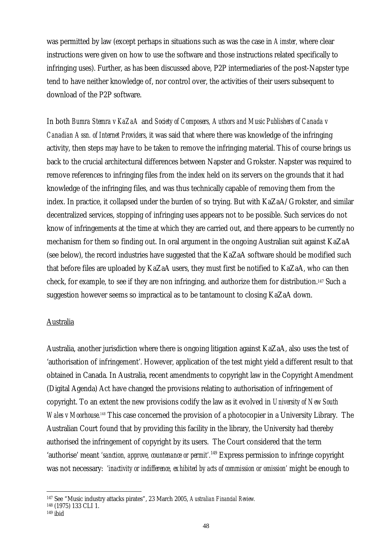was permitted by law (except perhaps in situations such as was the case in *Aimster,* where clear instructions were given on how to use the software and those instructions related specifically to infringing uses). Further, as has been discussed above, P2P intermediaries of the post-Napster type tend to have neither knowledge of, nor control over, the activities of their users subsequent to download of the P2P software.

In both *Bumra Stemra v KaZaA* and *Society of Composers, Authors and Music Publishers of Canada v Canadian Assn. of Internet Providers*, it was said that where there was knowledge of the infringing activity, then steps may have to be taken to remove the infringing material. This of course brings us back to the crucial architectural differences between Napster and Grokster. Napster was required to remove references to infringing files from the index held on its servers on the grounds that it had knowledge of the infringing files, and was thus technically capable of removing them from the index. In practice, it collapsed under the burden of so trying. But with KaZaA/Grokster, and similar decentralized services, stopping of infringing uses appears not to be possible. Such services do not know of infringements at the time at which they are carried out, and there appears to be currently no mechanism for them so finding out. In oral argument in the ongoing Australian suit against KaZaA (see below), the record industries have suggested that the KaZaA software should be modified such that before files are uploaded by KaZaA users, they must first be notified to KaZaA, who can then check, for example, to see if they are non infringing, and authorize them for distribution.147 Such a suggestion however seems so impractical as to be tantamount to closing KaZaA down.

### Australia

Australia, another jurisdiction where there is ongoing litigation against KaZaA, also uses the test of 'authorisation of infringement'. However, application of the test might yield a different result to that obtained in Canada. In Australia, recent amendments to copyright law in the Copyright Amendment (Digital Agenda) Act have changed the provisions relating to authorisation of infringement of copyright. To an extent the new provisions codify the law as it evolved in *University of New South Wales v Moorhouse.148* This case concerned the provision of a photocopier in a University Library. The Australian Court found that by providing this facility in the library, the University had thereby authorised the infringement of copyright by its users. The Court considered that the term 'authorise' meant *'sanction, approve, countenance or permit'.*149 Express permission to infringe copyright was not necessary: *'inactivity or indifference, exhibited by acts of commission or omission'* might be enough to

<sup>147</sup> See "Music industry attacks pirates", 23 March 2005, *Australian Financial Review.*

<sup>148 (1975) 133</sup> CLI 1.

<sup>149</sup> ibid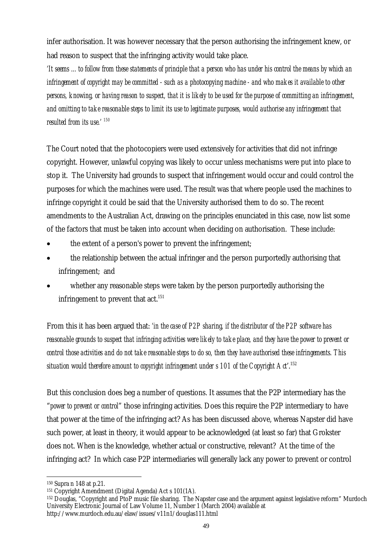infer authorisation. It was however necessary that the person authorising the infringement knew, or had reason to suspect that the infringing activity would take place.

*'It seems ... to follow from these statements of principle that a person who has under his control the means by which an infringement of copyright may be committed - such as a photocopying machine - and who makes it available to other persons, knowing, or having reason to suspect, that it is likely to be used for the purpose of committing an infringement, and omitting to take reasonable steps to limit its use to legitimate purposes, would authorise any infringement that resulted from its use.' 150*

The Court noted that the photocopiers were used extensively for activities that did not infringe copyright. However, unlawful copying was likely to occur unless mechanisms were put into place to stop it. The University had grounds to suspect that infringement would occur and could control the purposes for which the machines were used. The result was that where people used the machines to infringe copyright it could be said that the University authorised them to do so. The recent amendments to the Australian Act, drawing on the principles enunciated in this case, now list some of the factors that must be taken into account when deciding on authorisation. These include:

- the extent of a person's power to prevent the infringement;
- the relationship between the actual infringer and the person purportedly authorising that infringement; and
- whether any reasonable steps were taken by the person purportedly authorising the infringement to prevent that  $act.^{151}$

From this it has been argued that: *'in the case of P2P sharing, if the distributor of the P2P software has reasonable grounds to suspect that infringing activities were likely to take place, and they have the power to prevent or control those activities and do not take reasonable steps to do so, then they have authorised these infringements. This situation would therefore amount to copyright infringement under s 101 of the Copyright Act*'.152

But this conclusion does beg a number of questions. It assumes that the P2P intermediary has the "*power to prevent or control*" those infringing activities. Does this require the P2P intermediary to have that power at the time of the infringing act? As has been discussed above, whereas Napster did have such power, at least in theory, it would appear to be acknowledged (at least so far) that Grokster does not. When is the knowledge, whether actual or constructive, relevant? At the time of the infringing act? In which case P2P intermediaries will generally lack any power to prevent or control

<sup>150</sup> Supra n 148 at p.21.

<sup>151</sup> Copyright Amendment (Digital Agenda) Act s 101(1A).

<sup>&</sup>lt;sup>152</sup> Douglas, "Copyright and PtoP music file sharing. The Napster case and the argument against legislative reform" Murdoch University Electronic Journal of Law Volume 11, Number 1 (March 2004) available at http://www.murdoch.edu.au/elaw/issues/v11n1/douglas111.html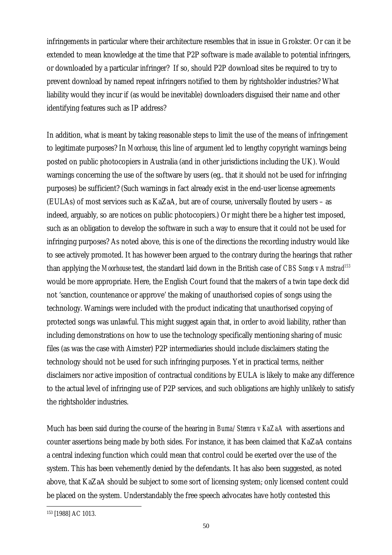infringements in particular where their architecture resembles that in issue in Grokster. Or can it be extended to mean knowledge at the time that P2P software is made available to potential infringers, or downloaded by a particular infringer? If so, should P2P download sites be required to try to prevent download by named repeat infringers notified to them by rightsholder industries? What liability would they incur if (as would be inevitable) downloaders disguised their name and other identifying features such as IP address?

In addition, what is meant by taking reasonable steps to limit the use of the means of infringement to legitimate purposes? In *Moorhouse*, this line of argument led to lengthy copyright warnings being posted on public photocopiers in Australia (and in other jurisdictions including the UK). Would warnings concerning the use of the software by users (eg,. that it should not be used for infringing purposes) be sufficient? (Such warnings in fact already exist in the end-user license agreements (EULAs) of most services such as KaZaA, but are of course, universally flouted by users – as indeed, arguably, so are notices on public photocopiers.) Or might there be a higher test imposed, such as an obligation to develop the software in such a way to ensure that it could not be used for infringing purposes? As noted above, this is one of the directions the recording industry would like to see actively promoted. It has however been argued to the contrary during the hearings that rather than applying the *Moorhouse* test, the standard laid down in the British case of *CBS Songs v Amstrad153* would be more appropriate. Here, the English Court found that the makers of a twin tape deck did not 'sanction, countenance or approve' the making of unauthorised copies of songs using the technology. Warnings were included with the product indicating that unauthorised copying of protected songs was unlawful. This might suggest again that, in order to avoid liability, rather than including demonstrations on how to use the technology specifically mentioning sharing of music files (as was the case with Aimster) P2P intermediaries should include disclaimers stating the technology should not be used for such infringing purposes. Yet in practical terms, neither disclaimers nor active imposition of contractual conditions by EULA is likely to make any difference to the actual level of infringing use of P2P services, and such obligations are highly unlikely to satisfy the rightsholder industries.

Much has been said during the course of the hearing in *Buma/Stemra v KaZaA* with assertions and counter assertions being made by both sides. For instance, it has been claimed that KaZaA contains a central indexing function which could mean that control could be exerted over the use of the system. This has been vehemently denied by the defendants. It has also been suggested, as noted above, that KaZaA should be subject to some sort of licensing system; only licensed content could be placed on the system. Understandably the free speech advocates have hotly contested this

<sup>153 [1988]</sup> AC 1013.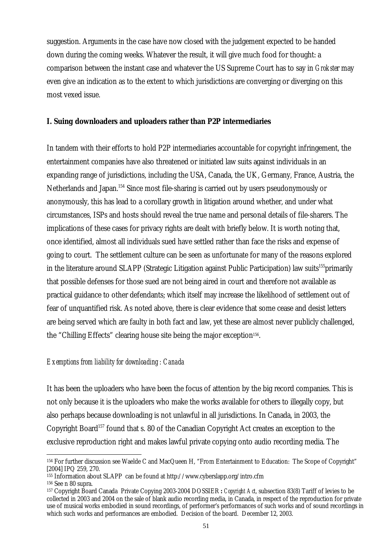suggestion. Arguments in the case have now closed with the judgement expected to be handed down during the coming weeks. Whatever the result, it will give much food for thought: a comparison between the instant case and whatever the US Supreme Court has to say in *Grokste*r may even give an indication as to the extent to which jurisdictions are converging or diverging on this most vexed issue.

## **I. Suing downloaders and uploaders rather than P2P intermediaries**

In tandem with their efforts to hold P2P intermediaries accountable for copyright infringement, the entertainment companies have also threatened or initiated law suits against individuals in an expanding range of jurisdictions, including the USA, Canada, the UK, Germany, France, Austria, the Netherlands and Japan.154 Since most file-sharing is carried out by users pseudonymously or anonymously, this has lead to a corollary growth in litigation around whether, and under what circumstances, ISPs and hosts should reveal the true name and personal details of file-sharers. The implications of these cases for privacy rights are dealt with briefly below. It is worth noting that, once identified, almost all individuals sued have settled rather than face the risks and expense of going to court. The settlement culture can be seen as unfortunate for many of the reasons explored in the literature around SLAPP (Strategic Litigation against Public Participation) law suits<sup>155</sup>primarily that possible defenses for those sued are not being aired in court and therefore not available as practical guidance to other defendants; which itself may increase the likelihood of settlement out of fear of unquantified risk. As noted above, there is clear evidence that some cease and desist letters are being served which are faulty in both fact and law, yet these are almost never publicly challenged, the "Chilling Effects" clearing house site being the major exception156.

## *Exemptions from liability for downloading : Canada*

It has been the uploaders who have been the focus of attention by the big record companies. This is not only because it is the uploaders who make the works available for others to illegally copy, but also perhaps because downloading is not unlawful in all jurisdictions. In Canada, in 2003, the Copyright Board<sup>157</sup> found that s. 80 of the Canadian Copyright Act creates an exception to the exclusive reproduction right and makes lawful private copying onto audio recording media. The

<sup>1</sup> <sup>154</sup> For further discussion see Waelde C and MacQueen H, "From Entertainment to Education: The Scope of Copyright" [2004] IPQ 259, 270.

<sup>155</sup> Information about SLAPP can be found at http://www.cyberslapp.org/intro.cfm

<sup>156</sup> See n 80 supra.

<sup>157</sup> Copyright Board Canada Private Copying 2003-2004 DOSSIER **:** *Copyright Act*, subsection 83(8) Tariff of levies to be collected in 2003 and 2004 on the sale of blank audio recording media, in Canada, in respect of the reproduction for private use of musical works embodied in sound recordings, of performer's performances of such works and of sound recordings in which such works and performances are embodied. Decision of the board.December 12, 2003.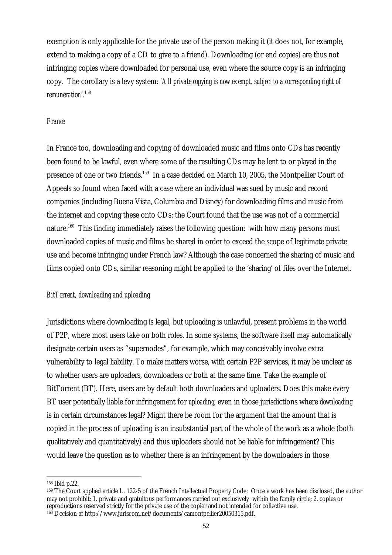exemption is only applicable for the private use of the person making it (it does not, for example, extend to making a copy of a CD to give to a friend). Downloading (or end copies) are thus not infringing copies where downloaded for personal use, even where the source copy is an infringing copy. The corollary is a levy system: *'All private copying is now exempt, subject to a corresponding right of remuneration*'.158

## *France*

In France too, downloading and copying of downloaded music and films onto CDs has recently been found to be lawful, even where some of the resulting CDs may be lent to or played in the presence of one or two friends.159 In a case decided on March 10, 2005, the Montpellier Court of Appeals so found when faced with a case where an individual was sued by music and record companies (including Buena Vista, Columbia and Disney) for downloading films and music from the internet and copying these onto CDs: the Court found that the use was not of a commercial nature.<sup>160</sup> This finding immediately raises the following question: with how many persons must downloaded copies of music and films be shared in order to exceed the scope of legitimate private use and become infringing under French law? Although the case concerned the sharing of music and films copied onto CDs, similar reasoning might be applied to the 'sharing' of files over the Internet.

### *BitTorrent, downloading and uploading*

Jurisdictions where downloading is legal, but uploading is unlawful, present problems in the world of P2P, where most users take on both roles. In some systems, the software itself may automatically designate certain users as "supernodes", for example, which may conceivably involve extra vulnerability to legal liability. To make matters worse, with certain P2P services, it may be unclear as to whether users are uploaders, downloaders or both at the same time. Take the example of BitTorrent (BT). Here, users are by default both downloaders and uploaders. Does this make every BT user potentially liable for infringement for *uploading*, even in those jurisdictions where *downloading*  is in certain circumstances legal? Might there be room for the argument that the amount that is copied in the process of uploading is an insubstantial part of the whole of the work as a whole (both qualitatively and quantitatively) and thus uploaders should not be liable for infringement? This would leave the question as to whether there is an infringement by the downloaders in those

<sup>158</sup> Ibid p.22.

<sup>&</sup>lt;sup>159</sup> The Court applied article L. 122-5 of the French Intellectual Property Code: Once a work has been disclosed, the author may not prohibit: 1. private and gratuitous performances carried out exclusively within the family circle; 2. copies or reproductions reserved strictly for the private use of the copier and not intended for collective use.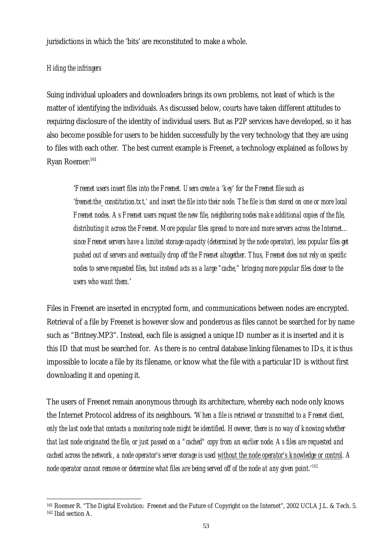jurisdictions in which the 'bits' are reconstituted to make a whole.

### *Hiding the infringers*

1

Suing individual uploaders and downloaders brings its own problems, not least of which is the matter of identifying the individuals. As discussed below, courts have taken different attitudes to requiring disclosure of the identity of individual users. But as P2P services have developed, so it has also become possible for users to be hidden successfully by the very technology that they are using to files with each other. The best current example is Freenet, a technology explained as follows by Ryan Roemer:<sup>161</sup>

'*Freenet users insert files into the Freenet. Users create a 'key' for the Freenet file such as 'freenet:the\_constitution.txt,' and insert the file into their node. The file is then stored on one or more local Freenet nodes. As Freenet users request the new file, neighboring nodes make additional copies of the file, distributing it across the Freenet. More popular files spread to more and more servers across the Internet…*  since Freenet servers have a limited storage capacity (determined by the node operator), less popular files get *pushed out of servers and eventually drop off the Freenet altogether. Thus, Freenet does not rely on specific nodes to serve requested files, but instead acts as a large "cache," bringing more popular files closer to the users who want them.*'

Files in Freenet are inserted in encrypted form, and communications between nodes are encrypted. Retrieval of a file by Freenet is however slow and ponderous as files cannot be searched for by name such as "Britney.MP3". Instead, each file is assigned a unique ID number as it is inserted and it is this ID that must be searched for. As there is no central database linking filenames to IDs, it is thus impossible to locate a file by its filename, or know what the file with a particular ID is without first downloading it and opening it.

The users of Freenet remain anonymous through its architecture, whereby each node only knows the Internet Protocol address of its neighbours. '*When a file is retrieved or transmitted to a Freenet client,*  only the last node that contacts a monitoring node might be identified. However, there is no way of knowing whether *that last node originated the file, or just passed on a "cached" copy from an earlier node. As files are requested and cached across the network, a node operator's server storage is used without the node operator's knowledge or control. A node operator cannot remove or determine what files are being served off of the node at any given point.'162*

<sup>161</sup> Roemer R. "The Digital Evolution: Freenet and the Future of Copyright on the Internet", 2002 UCLA J.L. & Tech. 5. 162 Ibid section A.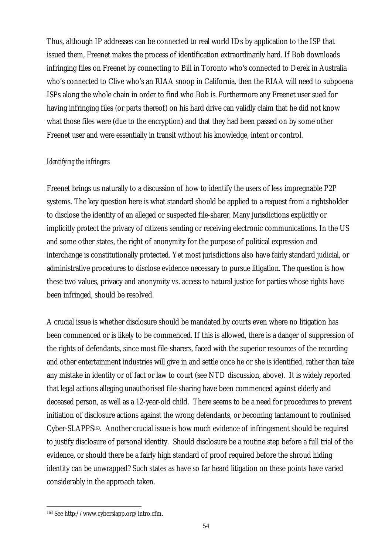Thus, although IP addresses can be connected to real world IDs by application to the ISP that issued them, Freenet makes the process of identification extraordinarily hard. If Bob downloads infringing files on Freenet by connecting to Bill in Toronto who's connected to Derek in Australia who's connected to Clive who's an RIAA snoop in California, then the RIAA will need to subpoena ISPs along the whole chain in order to find who Bob is. Furthermore any Freenet user sued for having infringing files (or parts thereof) on his hard drive can validly claim that he did not know what those files were (due to the encryption) and that they had been passed on by some other Freenet user and were essentially in transit without his knowledge, intent or control.

### *Identifying the infringers*

Freenet brings us naturally to a discussion of how to identify the users of less impregnable P2P systems. The key question here is what standard should be applied to a request from a rightsholder to disclose the identity of an alleged or suspected file-sharer. Many jurisdictions explicitly or implicitly protect the privacy of citizens sending or receiving electronic communications. In the US and some other states, the right of anonymity for the purpose of political expression and interchange is constitutionally protected. Yet most jurisdictions also have fairly standard judicial, or administrative procedures to disclose evidence necessary to pursue litigation. The question is how these two values, privacy and anonymity vs. access to natural justice for parties whose rights have been infringed, should be resolved.

A crucial issue is whether disclosure should be mandated by courts even where no litigation has been commenced or is likely to be commenced. If this is allowed, there is a danger of suppression of the rights of defendants, since most file-sharers, faced with the superior resources of the recording and other entertainment industries will give in and settle once he or she is identified, rather than take any mistake in identity or of fact or law to court (see NTD discussion, above). It is widely reported that legal actions alleging unauthorised file-sharing have been commenced against elderly and deceased person, as well as a 12-year-old child. There seems to be a need for procedures to prevent initiation of disclosure actions against the wrong defendants, or becoming tantamount to routinised Cyber-SLAPPS163. Another crucial issue is how much evidence of infringement should be required to justify disclosure of personal identity. Should disclosure be a routine step before a full trial of the evidence, or should there be a fairly high standard of proof required before the shroud hiding identity can be unwrapped? Such states as have so far heard litigation on these points have varied considerably in the approach taken.

<sup>163</sup> See http://www.cyberslapp.org/intro.cfm.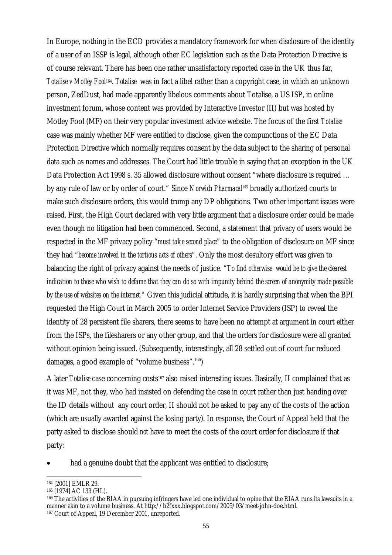In Europe, nothing in the ECD provides a mandatory framework for when disclosure of the identity of a user of an ISSP is legal, although other EC legislation such as the Data Protection Directive is of course relevant. There has been one rather unsatisfactory reported case in the UK thus far, *Totalise v Motley Fool*164. *Totalise* was in fact a libel rather than a copyright case, in which an unknown person, ZedDust, had made apparently libelous comments about Totalise, a US ISP, in online investment forum, whose content was provided by Interactive Investor (II) but was hosted by Motley Fool (MF) on their very popular investment advice website. The focus of the first *Totalise* case was mainly whether MF were entitled to disclose, given the compunctions of the EC Data Protection Directive which normally requires consent by the data subject to the sharing of personal data such as names and addresses. The Court had little trouble in saying that an exception in the UK Data Protection Act 1998 s. 35 allowed disclosure without consent "where disclosure is required … by any rule of law or by order of court." Since *Norwich Pharmacal165* broadly authorized courts to make such disclosure orders, this would trump any DP obligations. Two other important issues were raised. First, the High Court declared with very little argument that a disclosure order could be made even though no litigation had been commenced. Second, a statement that privacy of users would be respected in the MF privacy policy "*must take second place*" to the obligation of disclosure on MF since they had "*become involved in the tortious acts of others*". Only the most desultory effort was given to balancing the right of privacy against the needs of justice. "*To find otherwise would be to give the clearest indication to those who wish to defame that they can do so with impunity behind the screen of anonymity made possible by the use of websites on the internet."* Given this judicial attitude, it is hardly surprising that when the BPI requested the High Court in March 2005 to order Internet Service Providers (ISP) to reveal the identity of 28 persistent file sharers, there seems to have been no attempt at argument in court either from the ISPs, the filesharers or any other group, and that the orders for disclosure were all granted without opinion being issued. (Subsequently, interestingly, all 28 settled out of court for reduced damages, a good example of "volume business".<sup>166</sup>)

A later *Totalise* case concerning costs167 also raised interesting issues. Basically, II complained that as it was MF, not they, who had insisted on defending the case in court rather than just handing over the ID details without any court order, II should not be asked to pay any of the costs of the action (which are usually awarded against the losing party). In response, the Court of Appeal held that the party asked to disclose should *not* have to meet the costs of the court order for disclosure if that party:

had a genuine doubt that the applicant was entitled to disclosure;

<sup>1</sup> 164 [2001] EMLR 29.

<sup>165</sup> [1974] AC 133 (HL).

<sup>166</sup> The activities of the RIAA in pursuing infringers have led one individual to opine that the RIAA runs its lawsuits in a manner akin to a volume business. At http://b2fxxx.blogspot.com/2005/03/meet-john-doe.html. <sup>167</sup> Court of Appeal, 19 December 2001, unreported.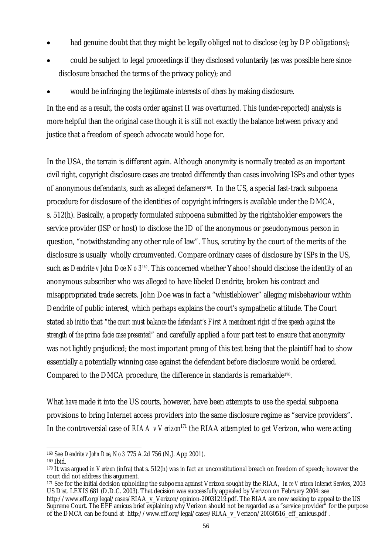- had genuine doubt that they might be legally obliged not to disclose (eg by DP obligations);
- could be subject to legal proceedings if they disclosed voluntarily (as was possible here since disclosure breached the terms of the privacy policy); and
- would be infringing the legitimate interests of *others* by making disclosure.

In the end as a result, the costs order against II was overturned. This (under-reported) analysis is more helpful than the original case though it is still not exactly the balance between privacy and justice that a freedom of speech advocate would hope for.

In the USA, the terrain is different again. Although anonymity is normally treated as an important civil right, copyright disclosure cases are treated differently than cases involving ISPs and other types of anonymous defendants, such as alleged defamers<sup>168</sup>. In the US, a special fast-track subpoena procedure for disclosure of the identities of copyright infringers is available under the DMCA, s. 512(h). Basically, a properly formulated subpoena submitted by the rightsholder empowers the service provider (ISP or host) to disclose the ID of the anonymous or pseudonymous person in question, "notwithstanding any other rule of law". Thus, scrutiny by the court of the merits of the disclosure is usually wholly circumvented. Compare ordinary cases of disclosure by ISPs in the US, such as *Dendrite v John Doe No 3169.* This concerned whether Yahoo! should disclose the identity of an anonymous subscriber who was alleged to have libeled Dendrite, broken his contract and misappropriated trade secrets. John Doe was in fact a "whistleblower" alleging misbehaviour within Dendrite of public interest, which perhaps explains the court's sympathetic attitude. The Court stated *ab initio* that "*the court must balance the defendant's First Amendment right of free speech against the strength of the prima facie case presented*" and carefully applied a four part test to ensure that anonymity was not lightly prejudiced; the most important prong of this test being that the plaintiff had to show essentially a potentially winning case against the defendant before disclosure would be ordered. Compared to the DMCA procedure, the difference in standards is remarkable170.

What *have* made it into the US courts, however, have been attempts to use the special subpoena provisions to bring Internet access providers into the same disclosure regime as "service providers". In the controversial case of RIAA v Verizon<sup>171</sup> the RIAA attempted to get Verizon, who were acting

<sup>168</sup> See *Dendrite v John Doe, No 3* 775 A.2d 756 (N.J. App 2001).

<sup>169</sup> Ibid.

<sup>170</sup> It was argued in *Verizon* (infra) that s. 512(h) was in fact an unconstitutional breach on freedom of speech; however the court did not address this argument.

<sup>171</sup> See for the initial decision upholding the subpoena against Verizon sought by the RIAA, *In re Verizon Internet Services*, 2003 US Dist. LEXIS 681 (D.D.C. 2003). That decision was successfully appealed by Verizon on February 2004: see http://www.eff.org/legal/cases/RIAA\_v\_Verizon/opinion-20031219.pdf. The RIAA are now seeking to appeal to the US Supreme Court. The EFF amicus brief explaining why Verizon should not be regarded as a "service provider" for the purpose

of the DMCA can be found at http://www.eff.org/legal/cases/RIAA\_v\_Verizon/20030516\_eff\_amicus.pdf .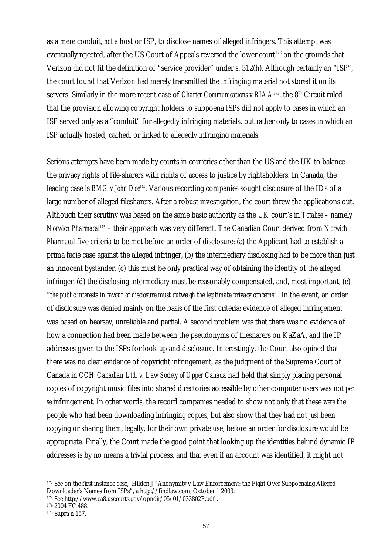as a mere conduit, *not* a host or ISP, to disclose names of alleged infringers. This attempt was eventually rejected, after the US Court of Appeals reversed the lower court<sup>172</sup> on the grounds that Verizon did not fit the definition of "service provider" under s. 512(h). Although certainly an "ISP", the court found that Verizon had merely transmitted the infringing material not stored it on its servers. Similarly in the more recent case of *Charter Communications v RIAA<sup>173</sup>*, the 8<sup>th</sup> Circuit ruled that the provision allowing copyright holders to subpoena ISPs did not apply to cases in which an ISP served only as a "conduit" for allegedly infringing materials, but rather only to cases in which an ISP actually hosted, cached, or linked to allegedly infringing materials.

Serious attempts have been made by courts in countries other than the US and the UK to balance the privacy rights of file-sharers with rights of access to justice by rightsholders. In Canada, the leading case is *BMG v John Doe174*. Various recording companies sought disclosure of the IDs of a large number of alleged filesharers. After a robust investigation, the court threw the applications out. Although their scrutiny was based on the same basic authority as the UK court's in *Totalise* – namely *Norwich Pharmacal175* – their approach was very different. The Canadian Court derived from *Norwich Pharmacal* five criteria to be met before an order of disclosure: (a) the Applicant had to establish a prima facie case against the alleged infringer, (b) the intermediary disclosing had to be more than just an innocent bystander, (c) this must be only practical way of obtaining the identity of the alleged infringer, (d) the disclosing intermediary must be reasonably compensated, and, most important, (e) "*the public interests in favour of disclosure must outweigh the legitimate privacy concerns".* In the event, an order of disclosure was denied mainly on the basis of the first criteria: evidence of alleged infringement was based on hearsay, unreliable and partial. A second problem was that there was no evidence of how a connection had been made between the pseudonyms of filesharers on KaZaA, and the IP addresses given to the ISPs for look-up and disclosure. Interestingly, the Court also opined that there was no clear evidence of copyright infringement, as the judgment of the Supreme Court of Canada in *CCH Canadian Ltd. v. Law Society of Upper Canada* had held that simply placing personal copies of copyright music files into shared directories accessible by other computer users was not *per se* infringement. In other words, the record companies needed to show not only that these *were* the people who had been downloading infringing copies, but also show that they had not *just* been copying or sharing them, legally, for their own private use, before an order for disclosure would be appropriate. Finally, the Court made the good point that looking up the identities behind dynamic IP addresses is by no means a trivial process, and that even if an account was identified, it might not

<sup>172</sup> See on the first instance case, Hilden J "Anonymity v Law Enforcement: the Fight Over Subpoenaing Alleged Downloader's Names from ISPs", a http://findlaw.com, October 1 2003.

<sup>173</sup> See http://www.ca8.uscourts.gov/opndir/05/01/033802P.pdf .

<sup>174</sup> 2004 FC 488.

<sup>175</sup> Supra n 157.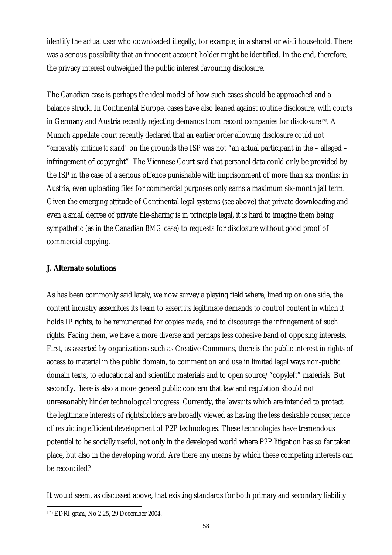identify the actual user who downloaded illegally, for example, in a shared or wi-fi household. There was a serious possibility that an innocent account holder might be identified. In the end, therefore, the privacy interest outweighed the public interest favouring disclosure.

The Canadian case is perhaps the ideal model of how such cases should be approached and a balance struck. In Continental Europe, cases have also leaned against routine disclosure, with courts in Germany and Austria recently rejecting demands from record companies for disclosure176. A Munich appellate court recently declared that an earlier order allowing disclosure could not "*conceivably continue to stand"* on the grounds the ISP was not "an actual participant in the – alleged – infringement of copyright". The Viennese Court said that personal data could only be provided by the ISP in the case of a serious offence punishable with imprisonment of more than six months: in Austria, even uploading files for commercial purposes only earns a maximum six-month jail term. Given the emerging attitude of Continental legal systems (see above) that private downloading and even a small degree of private file-sharing is in principle legal, it is hard to imagine them being sympathetic (as in the Canadian *BMG* case) to requests for disclosure without good proof of commercial copying.

# **J. Alternate solutions**

As has been commonly said lately, we now survey a playing field where, lined up on one side, the content industry assembles its team to assert its legitimate demands to control content in which it holds IP rights, to be remunerated for copies made, and to discourage the infringement of such rights. Facing them, we have a more diverse and perhaps less cohesive band of opposing interests. First, as asserted by organizations such as Creative Commons, there is the public interest in rights of access to material in the public domain, to comment on and use in limited legal ways non-public domain texts, to educational and scientific materials and to open source/"copyleft" materials. But secondly, there is also a more general public concern that law and regulation should not unreasonably hinder technological progress. Currently, the lawsuits which are intended to protect the legitimate interests of rightsholders are broadly viewed as having the less desirable consequence of restricting efficient development of P2P technologies. These technologies have tremendous potential to be socially useful, not only in the developed world where P2P litigation has so far taken place, but also in the developing world. Are there any means by which these competing interests can be reconciled?

It would seem, as discussed above, that existing standards for both primary and secondary liability

<sup>1</sup> <sup>176</sup> EDRI-gram, No 2.25, 29 December 2004.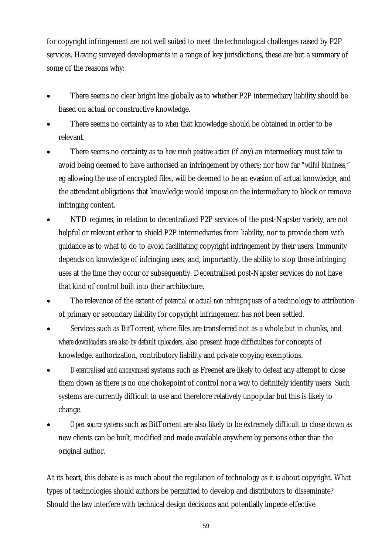for copyright infringement are not well suited to meet the technological challenges raised by P2P services. Having surveyed developments in a range of key jurisdictions, these are but a summary of some of the reasons why:

- There seems no clear bright line globally as to whether P2P intermediary liability should be based on actual or constructive knowledge.
- There seems no certainty as to *when* that knowledge should be obtained in order to be relevant.
- There seems no certainty as to *how much positive action* (if any) an intermediary must take to avoid being deemed to have authorised an infringement by others; nor how far "*wilful blindness,*" eg allowing the use of encrypted files, will be deemed to be an evasion of actual knowledge, and the attendant obligations that knowledge would impose on the intermediary to block or remove infringing content.
- NTD regimes, in relation to decentralized P2P services of the post-Napster variety, are not helpful or relevant either to shield P2P intermediaries from liability, nor to provide them with guidance as to what to do to avoid facilitating copyright infringement by their users. Immunity depends on knowledge of infringing uses, and, importantly, the ability to stop those infringing uses at the time they occur or subsequently. Decentralised post-Napster services do not have that kind of control built into their architecture.
- The relevance of the extent of *potential or actual non infringing uses* of a technology to attribution of primary or secondary liability for copyright infringement has not been settled.
- Services such as BitTorrent, where files are transferred not as a whole but in chunks, and *where downloaders are also by default uploaders*, also present huge difficulties for concepts of knowledge, authorization, contributory liability and private copying exemptions.
- *Decentralised and anonymised* systems such as Freenet are likely to defeat any attempt to close them down as there is no one chokepoint of control nor a way to definitely identify users Such systems are currently difficult to use and therefore relatively unpopular but this is likely to change.
- *Open source systems* such as BitTorrent are also likely to be extremely difficult to close down as new clients can be built, modified and made available anywhere by persons other than the original author.

At its heart, this debate is as much about the regulation of technology as it is about copyright. What types of technologies should authors be permitted to develop and distributors to disseminate? Should the law interfere with technical design decisions and potentially impede effective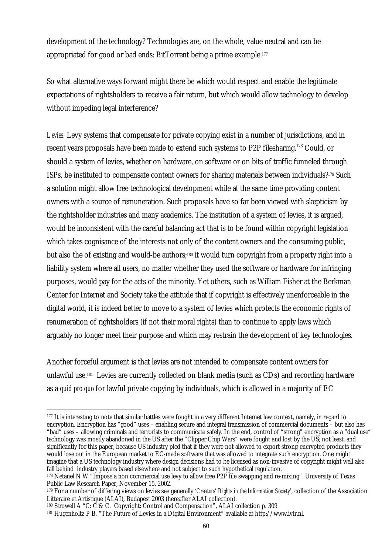development of the technology? Technologies are, on the whole, value neutral and can be appropriated for good or bad ends: BitTorrent being a prime example.177

So what alternative ways forward might there be which would respect and enable the legitimate expectations of rightsholders to receive a fair return, but which would allow technology to develop without impeding legal interference?

*Levies.* Levy systems that compensate for private copying exist in a number of jurisdictions, and in recent years proposals have been made to extend such systems to P2P filesharing.<sup>178</sup> Could, or should a system of levies, whether on hardware, on software or on bits of traffic funneled through ISPs, be instituted to compensate content owners for sharing materials between individuals?179 Such a solution might allow free technological development while at the same time providing content owners with a source of remuneration. Such proposals have so far been viewed with skepticism by the rightsholder industries and many academics. The institution of a system of levies, it is argued, would be inconsistent with the careful balancing act that is to be found within copyright legislation which takes cognisance of the interests not only of the content owners and the consuming public, but also the of existing and would-be authors;<sup>180</sup> it would turn copyright from a property right into a liability system where all users, no matter whether they used the software or hardware for infringing purposes, would pay for the acts of the minority. Yet others, such as William Fisher at the Berkman Center for Internet and Society take the attitude that if copyright is effectively unenforceable in the digital world, it is indeed better to move to a system of levies which protects the economic rights of renumeration of rightsholders (if not their moral rights) than to continue to apply laws which arguably no longer meet their purpose and which may restrain the development of key technologies.

Another forceful argument is that levies are not intended to compensate content owners for unlawful use.181 Levies are currently collected on blank media (such as CDs) and recording hardware as a *quid pro quo* for lawful private copying by individuals, which is allowed in a majority of EC

<sup>1</sup> <sup>177</sup> It is interesting to note that similar battles were fought in a very different Internet law context, namely, in regard to encryption. Encryption has "good" uses – enabling secure and integral transmission of commercial documents – but also has "bad" uses – allowing criminals and terrorists to communicate safely. In the end, control of "strong" encryption as a "dual use" technology was mostly abandoned in the US after the "Clipper Chip Wars" were fought and lost by the US; not least, and significantly for this paper, because US industry pled that if they were not allowed to export strong-encrypted products they would lose out in the European market to EC-made software that was allowed to integrate such encryption. One might imagine that a US technology industry where design decisions had to be licensed as non-invasive of copyright might well also fall behind industry players based elsewhere and not subject to such hypothetical regulation.

<sup>&</sup>lt;sup>178</sup> Netanel N W "Impose a non commercial use levy to allow free P2P file swapping and re-mixing". University of Texas Public Law Research Paper, November 15, 2002.

<sup>179</sup> For a number of differing views on levies see generally *'Creators' Rights in the Information Society'*, collection of the Association Litteraire et Artistique (ALAI), Budapest 2003 (hereafter ALAI collection).

<sup>180</sup> Strowell A "C: C & C. Copyright: Control and Compensation", ALAI collection p. 309

<sup>181</sup> Hugenholtz P B, "The Future of Levies in a Digital Environment" available at http://www.ivir.nl.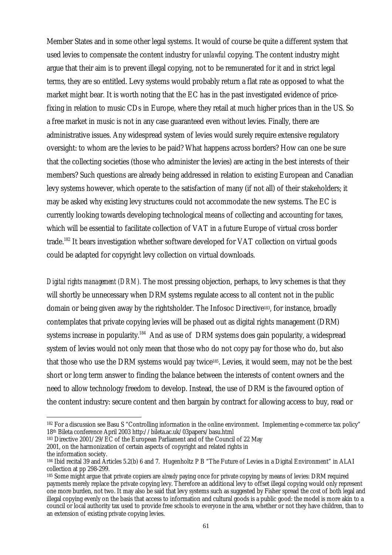Member States and in some other legal systems. It would of course be quite a different system that used levies to compensate the content industry for *unlawful* copying. The content industry might argue that their aim is to prevent illegal copying, not to be remunerated for it and in strict legal terms, they are so entitled. Levy systems would probably return a flat rate as opposed to what the market might bear. It is worth noting that the EC has in the past investigated evidence of pricefixing in relation to music CDs in Europe, where they retail at much higher prices than in the US. So a free market in music is not in any case guaranteed even without levies. Finally, there are administrative issues. Any widespread system of levies would surely require extensive regulatory oversight: to whom are the levies to be paid? What happens across borders? How can one be sure that the collecting societies (those who administer the levies) are acting in the best interests of their members? Such questions are already being addressed in relation to existing European and Canadian levy systems however, which operate to the satisfaction of many (if not all) of their stakeholders; it may be asked why existing levy structures could not accommodate the new systems. The EC is currently looking towards developing technological means of collecting and accounting for taxes, which will be essential to facilitate collection of VAT in a future Europe of virtual cross border trade.182 It bears investigation whether software developed for VAT collection on virtual goods could be adapted for copyright levy collection on virtual downloads.

*Digital rights management (DRM).* The most pressing objection, perhaps, to levy schemes is that they will shortly be unnecessary when DRM systems regulate access to all content not in the public domain or being given away by the rightsholder. The Infosoc Directive183, for instance, broadly contemplates that private copying levies will be phased out as digital rights management (DRM) systems increase in popularity.<sup>184</sup> And as use of DRM systems does gain popularity, a widespread system of levies would not only mean that those who do not copy pay for those who do, but also that those who use the DRM systems would pay twice185. Levies, it would seem, may not be the best short or long term answer to finding the balance between the interests of content owners and the need to allow technology freedom to develop. Instead, the use of DRM is the favoured option of the content industry: secure content and then bargain by contract for allowing access to buy, read or

183 Directive 2001/29/EC of the European Parliament and of the Council of 22 May 2001, on the harmonization of certain aspects of copyright and related rights in the information society.

<sup>182</sup> For a discussion see Basu S "Controlling information in the online environment. Implementing e-commerce tax policy" 18th Bileta conference April 2003 http://bileta.ac.uk/03papers/basu.html

<sup>184</sup> Ibid recital 39 and Articles 5.2(b) 6 and 7. Hugenholtz P B "The Future of Levies in a Digital Environment" in ALAI collection at pp 298-299.

<sup>185</sup> Some might argue that private copiers are *already* paying once for private copying by means of levies: DRM required payments merely replace the private copying levy. Therefore an additional levy to offset illegal copying would only represent one more burden, not two. It may also be said that levy systems such as suggested by Fisher spread the cost of both legal and illegal copying evenly on the basis that access to information and cultural goods is a public good: the model is more akin to a council or local authority tax used to provide free schools to everyone in the area, whether or not they have children, than to an extension of existing private copying levies.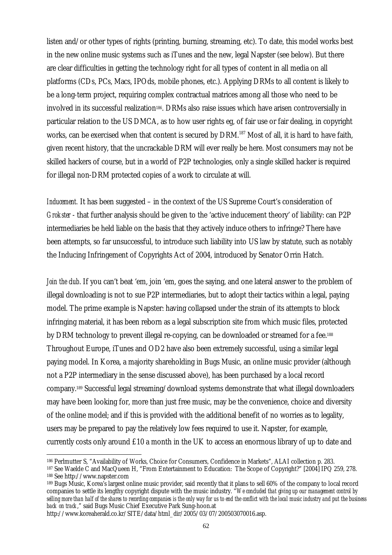listen and/or other types of rights (printing, burning, streaming, etc). To date, this model works best in the new online music systems such as iTunes and the new, legal Napster (see below). But there are clear difficulties in getting the technology right for all types of content in all media on all platforms (CDs, PCs, Macs, IPOds, mobile phones, etc.). Applying DRMs to all content is likely to be a long-term project, requiring complex contractual matrices among all those who need to be involved in its successful realization<sup>186</sup>. DRMs also raise issues which have arisen controversially in particular relation to the US DMCA, as to how user rights eg, of fair use or fair dealing, in copyright works, can be exercised when that content is secured by DRM.<sup>187</sup> Most of all, it is hard to have faith, given recent history, that the uncrackable DRM will ever really be here. Most consumers may not be skilled hackers of course, but in a world of P2P technologies, only a single skilled hacker is required for illegal non-DRM protected copies of a work to circulate at will.

*Inducement.* It has been suggested – in the context of the US Supreme Court's consideration of *Grokster* - that further analysis should be given to the 'active inducement theory' of liability: can P2P intermediaries be held liable on the basis that they actively induce others to infringe? There have been attempts, so far unsuccessful, to introduce such liability into US law by statute, such as notably the Inducing Infringement of Copyrights Act of 2004, introduced by Senator Orrin Hatch.

*Join the club*. If you can't beat 'em, join 'em, goes the saying, and one lateral answer to the problem of illegal downloading is not to sue P2P intermediaries, but to adopt their tactics within a legal, paying model. The prime example is Napster: having collapsed under the strain of its attempts to block infringing material, it has been reborn as a legal subscription site from which music files, protected by DRM technology to prevent illegal re-copying, can be downloaded or streamed for a fee.188 Throughout Europe, iTunes and OD2 have also been extremely successful, using a similar legal paying model. In Korea, a majority shareholding in Bugs Music, an online music provider (although not a P2P intermediary in the sense discussed above), has been purchased by a local record company.189 Successful legal streaming/download systems demonstrate that what illegal downloaders may have been looking for, more than just free music, may be the convenience, choice and diversity of the online model; and if this is provided with the additional benefit of no worries as to legality, users may be prepared to pay the relatively low fees required to use it. Napster, for example, currently costs only around £10 a month in the UK to access an enormous library of up to date and

<sup>186</sup> Perlmutter S, "Availability of Works, Choice for Consumers, Confidence in Markets", ALAI collection p. 283.

<sup>187</sup> See Waelde C and MacQueen H, "From Entertainment to Education: The Scope of Copyright?" [2004] IPQ 259, 278. 188 See http://www.napster.com

<sup>189</sup> Bugs Music, Korea's largest online music provider, said recently that it plans to sell 60% of the company to local record companies to settle its lengthy copyright dispute with the music industry. "*We concluded that giving up our management control by selling more than half of the shares to recording companies is the only way for us to end the conflict with the local music industry and put the business back on track*," said Bugs Music Chief Executive Park Sung-hoon.at

http://www.koreaherald.co.kr/SITE/data/html\_dir/2005/03/07/200503070016.asp.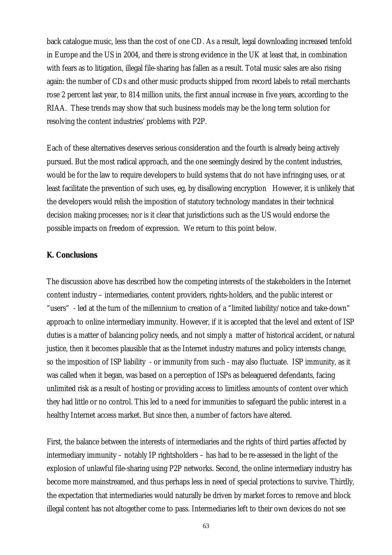back catalogue music, less than the cost of one CD. As a result, legal downloading increased tenfold in Europe and the US in 2004, and there is strong evidence in the UK at least that, in combination with fears as to litigation, illegal file-sharing has fallen as a result. Total music sales are also rising again: the number of CDs and other music products shipped from record labels to retail merchants rose 2 percent last year, to 814 million units, the first annual increase in five years, according to the RIAA. These trends may show that such business models may be the long term solution for resolving the content industries' problems with P2P.

Each of these alternatives deserves serious consideration and the fourth is already being actively pursued. But the most radical approach, and the one seemingly desired by the content industries, would be for the law to require developers to build systems that do not have infringing uses, or at least facilitate the prevention of such uses, eg, by disallowing encryption However, it is unlikely that the developers would relish the imposition of statutory technology mandates in their technical decision making processes; nor is it clear that jurisdictions such as the US would endorse the possible impacts on freedom of expression. We return to this point below.

### **K. Conclusions**

The discussion above has described how the competing interests of the stakeholders in the Internet content industry – intermediaries, content providers, rights-holders, and the public interest or "users" - led at the turn of the millennium to creation of a "limited liability/notice and take-down" approach to online intermediary immunity. However, if it is accepted that the level and extent of ISP duties is a matter of balancing policy needs, and not simply a matter of historical accident, or natural justice, then it becomes plausible that as the Internet industry matures and policy interests change, so the imposition of ISP liability - or immunity from such - may also fluctuate. ISP immunity, as it was called when it began, was based on a perception of ISPs as beleaguered defendants, facing unlimited risk as a result of hosting or providing access to limitless amounts of content over which they had little or no control. This led to a need for immunities to safeguard the public interest in a healthy Internet access market. But since then, a number of factors have altered.

First, the balance between the interests of intermediaries and the rights of third parties affected by intermediary immunity – notably IP rightsholders – has had to be re-assessed in the light of the explosion of unlawful file-sharing using P2P networks. Second, the online intermediary industry has become more mainstreamed, and thus perhaps less in need of special protections to survive. Thirdly, the expectation that intermediaries would naturally be driven by market forces to remove and block illegal content has not altogether come to pass. Intermediaries left to their own devices do not see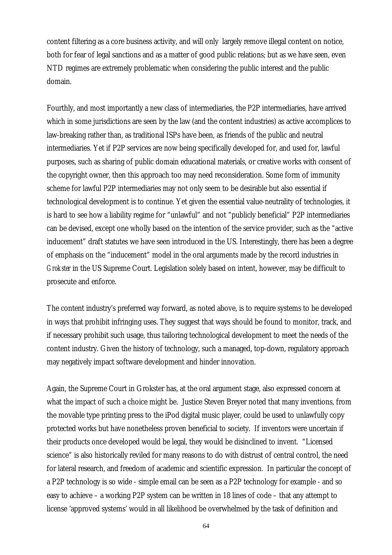content filtering as a core business activity, and will only largely remove illegal content on notice, both for fear of legal sanctions and as a matter of good public relations; but as we have seen, even NTD regimes are extremely problematic when considering the public interest and the public domain.

Fourthly, and most importantly a new class of intermediaries, the P2P intermediaries, have arrived which in some jurisdictions are seen by the law (and the content industries) as active accomplices to law-breaking rather than, as traditional ISPs have been, as friends of the public and neutral intermediaries. Yet if P2P services are now being specifically developed for, and used for, lawful purposes, such as sharing of public domain educational materials, or creative works with consent of the copyright owner, then this approach too may need reconsideration. Some form of immunity scheme for lawful P2P intermediaries may not only seem to be desirable but also essential if technological development is to continue. Yet given the essential value-neutrality of technologies, it is hard to see how a liability regime for "unlawful" and not "publicly beneficial" P2P intermediaries can be devised, except one wholly based on the intention of the service provider, such as the "active inducement" draft statutes we have seen introduced in the US. Interestingly, there has been a degree of emphasis on the "inducement" model in the oral arguments made by the record industries in *Grokster* in the US Supreme Court. Legislation solely based on intent, however, may be difficult to prosecute and enforce.

The content industry's preferred way forward, as noted above, is to require systems to be developed in ways that prohibit infringing uses. They suggest that ways should be found to monitor, track, and if necessary prohibit such usage, thus tailoring technological development to meet the needs of the content industry. Given the history of technology, such a managed, top-down, regulatory approach may negatively impact software development and hinder innovation.

Again, the Supreme Court in Grokster has, at the oral argument stage, also expressed concern at what the impact of such a choice might be. Justice Steven Breyer noted that many inventions, from the movable type printing press to the iPod digital music player, could be used to unlawfully copy protected works but have nonetheless proven beneficial to society. If inventors were uncertain if their products once developed would be legal, they would be disinclined to invent. "Licensed science" is also historically reviled for many reasons to do with distrust of central control, the need for lateral research, and freedom of academic and scientific expression. In particular the concept of a P2P technology is so wide - simple email can be seen as a P2P technology for example - and so easy to achieve – a working P2P system can be written in 18 lines of code – that any attempt to license 'approved systems' would in all likelihood be overwhelmed by the task of definition and